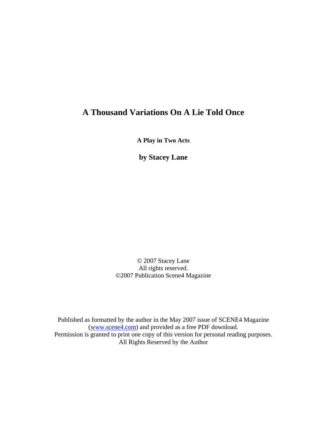## **A Thousand Variations On A Lie Told Once**

**A Play in Two Acts** 

**by Stacey Lane** 

© 2007 Stacey Lane All rights reserved. ©2007 Publication Scene4 Magazine

Published as formatted by the author in the May 2007 issue of SCENE4 Magazine ([www.scene4.com\)](http://www.scene4.com/) and provided as a free PDF download. Permission is granted to print one copy of this version for personal reading purposes. All Rights Reserved by the Author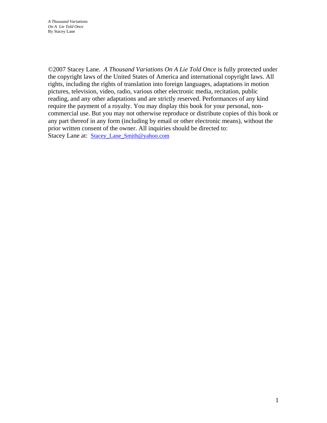©2007 Stacey Lane. *A Thousand Variations On A Lie Told Once* is fully protected under the copyright laws of the United States of America and international copyright laws. All rights, including the rights of translation into foreign languages, adaptations in motion pictures, television, video, radio, various other electronic media, recitation, public reading, and any other adaptations and are strictly reserved. Performances of any kind require the payment of a royalty. You may display this book for your personal, noncommercial use. But you may not otherwise reproduce or distribute copies of this book or any part thereof in any form (including by email or other electronic means), without the prior written consent of the owner. All inquiries should be directed to: Stacey Lane at: Stacey Lane Smith@yahoo.com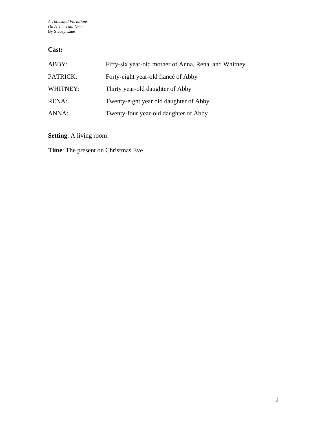## **Cast:**

| ABBY:    | Fifty-six year-old mother of Anna, Rena, and Whitney |
|----------|------------------------------------------------------|
| PATRICK: | Forty-eight year-old fiance of Abby                  |
| WHITNEY: | Thirty year-old daughter of Abby                     |
| RENA:    | Twenty-eight year old daughter of Abby               |
| ANNA:    | Twenty-four year-old daughter of Abby                |

**Setting**: A living room

**Time**: The present on Christmas Eve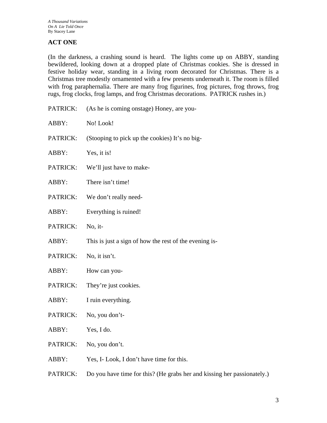## **ACT ONE**

(In the darkness, a crashing sound is heard. The lights come up on ABBY, standing bewildered, looking down at a dropped plate of Christmas cookies. She is dressed in festive holiday wear, standing in a living room decorated for Christmas. There is a Christmas tree modestly ornamented with a few presents underneath it. The room is filled with frog paraphernalia. There are many frog figurines, frog pictures, frog throws, frog rugs, frog clocks, frog lamps, and frog Christmas decorations. PATRICK rushes in.)

- PATRICK: (As he is coming onstage) Honey, are you-ABBY: No! Look! PATRICK: (Stooping to pick up the cookies) It's no big-ABBY: Yes, it is! PATRICK: We'll just have to make-ABBY: There isn't time! PATRICK: We don't really need-ABBY: Everything is ruined! PATRICK: No, it-ABBY: This is just a sign of how the rest of the evening is-PATRICK: No, it isn't. ABBY: How can you-PATRICK: They're just cookies. ABBY: I ruin everything. PATRICK: No, you don't-ABBY: Yes, I do. PATRICK: No, you don't. ABBY: Yes, I- Look, I don't have time for this.
- PATRICK: Do you have time for this? (He grabs her and kissing her passionately.)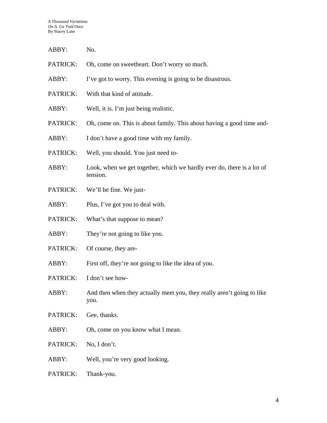| ABBY:    | No.                                                                                |
|----------|------------------------------------------------------------------------------------|
| PATRICK: | Oh, come on sweetheart. Don't worry so much.                                       |
| ABBY:    | I've got to worry. This evening is going to be disastrous.                         |
| PATRICK: | With that kind of attitude.                                                        |
| ABBY:    | Well, it is. I'm just being realistic.                                             |
| PATRICK: | Oh, come on. This is about family. This about having a good time and-              |
| ABBY:    | I don't have a good time with my family.                                           |
| PATRICK: | Well, you should. You just need to-                                                |
| ABBY:    | Look, when we get together, which we hardly ever do, there is a lot of<br>tension. |
| PATRICK: | We'll be fine. We just-                                                            |
| ABBY:    | Plus, I've got you to deal with.                                                   |
| PATRICK: | What's that suppose to mean?                                                       |
| ABBY:    | They're not going to like you.                                                     |
| PATRICK: | Of course, they are-                                                               |
| ABBY:    | First off, they're not going to like the idea of you.                              |
| PATRICK: | I don't see how-                                                                   |
| ABBY:    | And then when they actually meet you, they really aren't going to like<br>you.     |
| PATRICK: | Gee, thanks.                                                                       |
| ABBY:    | Oh, come on you know what I mean.                                                  |
| PATRICK: | No, I don't.                                                                       |
| ABBY:    | Well, you're very good looking.                                                    |
| PATRICK: | Thank-you.                                                                         |
|          |                                                                                    |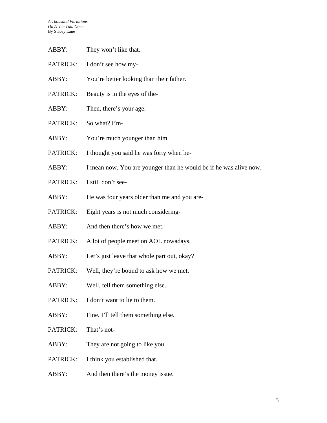| ABBY:    | They won't like that.                                             |
|----------|-------------------------------------------------------------------|
| PATRICK: | I don't see how my-                                               |
| ABBY:    | You're better looking than their father.                          |
| PATRICK: | Beauty is in the eyes of the-                                     |
| ABBY:    | Then, there's your age.                                           |
| PATRICK: | So what? I'm-                                                     |
| ABBY:    | You're much younger than him.                                     |
| PATRICK: | I thought you said he was forty when he-                          |
| ABBY:    | I mean now. You are younger than he would be if he was alive now. |
| PATRICK: | I still don't see-                                                |
| ABBY:    | He was four years older than me and you are-                      |
| PATRICK: | Eight years is not much considering-                              |
| ABBY:    | And then there's how we met.                                      |
| PATRICK: | A lot of people meet on AOL nowadays.                             |
| ABBY:    | Let's just leave that whole part out, okay?                       |
| PATRICK: | Well, they're bound to ask how we met.                            |
| ABBY:    | Well, tell them something else.                                   |
| PATRICK: | I don't want to lie to them.                                      |
| ABBY:    | Fine. I'll tell them something else.                              |
| PATRICK: | That's not-                                                       |
| ABBY:    | They are not going to like you.                                   |
| PATRICK: | I think you established that.                                     |
| ABBY:    | And then there's the money issue.                                 |
|          |                                                                   |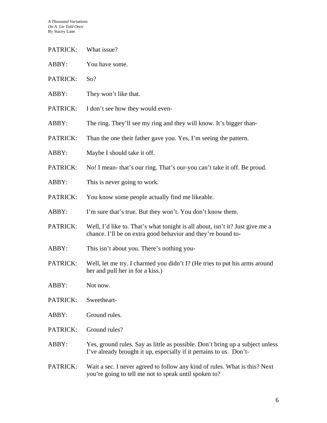- PATRICK: What issue?
- ABBY: You have some.
- PATRICK: So?
- ABBY: They won't like that.
- PATRICK: I don't see how they would even-
- ABBY: The ring. They'll see my ring and they will know. It's bigger than-
- PATRICK: Than the one their father gave you. Yes, I'm seeing the pattern.
- ABBY: Maybe I should take it off.
- PATRICK: No! I mean- that's our ring. That's our-you can't take it off. Be proud.
- ABBY: This is never going to work.
- PATRICK: You know some people actually find me likeable.
- ABBY: I'm sure that's true. But they won't. You don't know them.
- PATRICK: Well, I'd like to. That's what tonight is all about, isn't it? Just give me a chance. I'll be on extra good behavior and they're bound to-
- ABBY: This isn't about you. There's nothing you-
- PATRICK: Well, let me try. I charmed you didn't I? (He tries to put his arms around her and pull her in for a kiss.)
- ABBY: Not now.
- PATRICK: Sweetheart-
- ABBY: Ground rules.
- PATRICK: Ground rules?
- ABBY: Yes, ground rules. Say as little as possible. Don't bring up a subject unless I've already brought it up, especially if it pertains to us. Don't-
- PATRICK: Wait a sec. I never agreed to follow any kind of rules. What is this? Next you're going to tell me not to speak until spoken to?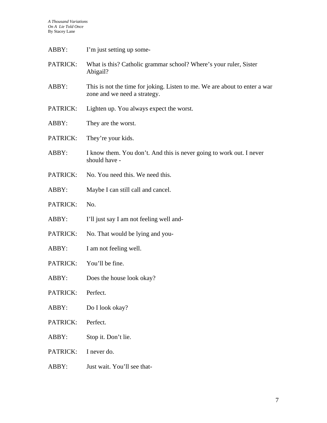| ABBY:    | I'm just setting up some-                                                                                  |
|----------|------------------------------------------------------------------------------------------------------------|
| PATRICK: | What is this? Catholic grammar school? Where's your ruler, Sister<br>Abigail?                              |
| ABBY:    | This is not the time for joking. Listen to me. We are about to enter a war<br>zone and we need a strategy. |
| PATRICK: | Lighten up. You always expect the worst.                                                                   |
| ABBY:    | They are the worst.                                                                                        |
| PATRICK: | They're your kids.                                                                                         |
| ABBY:    | I know them. You don't. And this is never going to work out. I never<br>should have -                      |
| PATRICK: | No. You need this. We need this.                                                                           |
| ABBY:    | Maybe I can still call and cancel.                                                                         |
| PATRICK: | No.                                                                                                        |
| ABBY:    | I'll just say I am not feeling well and-                                                                   |
| PATRICK: | No. That would be lying and you-                                                                           |
| ABBY:    | I am not feeling well.                                                                                     |
| PATRICK: | You'll be fine.                                                                                            |
| ABBY:    | Does the house look okay?                                                                                  |
| PATRICK: | Perfect.                                                                                                   |
| ABBY:    | Do I look okay?                                                                                            |
| PATRICK: | Perfect.                                                                                                   |
| ABBY:    | Stop it. Don't lie.                                                                                        |
| PATRICK: | I never do.                                                                                                |
| ABBY:    | Just wait. You'll see that-                                                                                |
|          |                                                                                                            |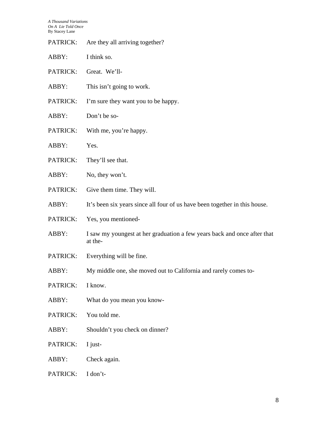| PATRICK: | Are they all arriving together?                                                     |
|----------|-------------------------------------------------------------------------------------|
| ABBY:    | I think so.                                                                         |
| PATRICK: | Great. We'll-                                                                       |
| ABBY:    | This isn't going to work.                                                           |
| PATRICK: | I'm sure they want you to be happy.                                                 |
| ABBY:    | Don't be so-                                                                        |
| PATRICK: | With me, you're happy.                                                              |
| ABBY:    | Yes.                                                                                |
| PATRICK: | They'll see that.                                                                   |
| ABBY:    | No, they won't.                                                                     |
| PATRICK: | Give them time. They will.                                                          |
| ABBY:    | It's been six years since all four of us have been together in this house.          |
| PATRICK: | Yes, you mentioned-                                                                 |
| ABBY:    | I saw my youngest at her graduation a few years back and once after that<br>at the- |
| PATRICK: | Everything will be fine.                                                            |
| ABBY:    | My middle one, she moved out to California and rarely comes to-                     |
| PATRICK: | I know.                                                                             |
| ABBY:    | What do you mean you know-                                                          |
| PATRICK: | You told me.                                                                        |
| ABBY:    | Shouldn't you check on dinner?                                                      |
| PATRICK: | I just-                                                                             |
| ABBY:    | Check again.                                                                        |
| PATRICK: | I don't-                                                                            |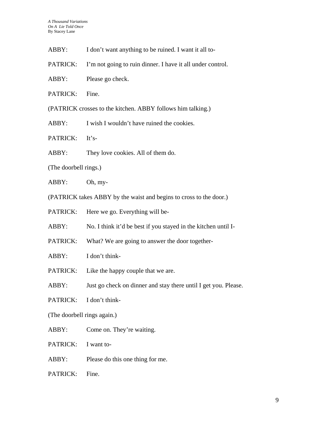- ABBY: I don't want anything to be ruined. I want it all to-
- PATRICK: I'm not going to ruin dinner. I have it all under control.
- ABBY: Please go check.

PATRICK: Fine.

(PATRICK crosses to the kitchen. ABBY follows him talking.)

ABBY: I wish I wouldn't have ruined the cookies.

PATRICK: It's-

ABBY: They love cookies. All of them do.

(The doorbell rings.)

ABBY: Oh, my-

(PATRICK takes ABBY by the waist and begins to cross to the door.)

PATRICK: Here we go. Everything will be-

ABBY: No. I think it'd be best if you stayed in the kitchen until I-

PATRICK: What? We are going to answer the door together-

ABBY: I don't think-

PATRICK: Like the happy couple that we are.

ABBY: Just go check on dinner and stay there until I get you. Please.

PATRICK: I don't think-

(The doorbell rings again.)

ABBY: Come on. They're waiting.

PATRICK: I want to-

ABBY: Please do this one thing for me.

PATRICK: Fine.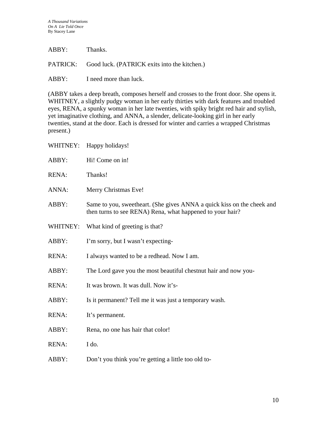| ABBY: | Thanks. |  |
|-------|---------|--|
|       |         |  |

PATRICK: Good luck. (PATRICK exits into the kitchen.)

ABBY: I need more than luck.

(ABBY takes a deep breath, composes herself and crosses to the front door. She opens it. WHITNEY, a slightly pudgy woman in her early thirties with dark features and troubled eyes, RENA, a spunky woman in her late twenties, with spiky bright red hair and stylish, yet imaginative clothing, and ANNA, a slender, delicate-looking girl in her early twenties, stand at the door. Each is dressed for winter and carries a wrapped Christmas present.)

| WHITNEY:     | Happy holidays!                                                                                                                     |
|--------------|-------------------------------------------------------------------------------------------------------------------------------------|
| ABBY:        | Hi! Come on in!                                                                                                                     |
| <b>RENA:</b> | Thanks!                                                                                                                             |
| ANNA:        | Merry Christmas Eve!                                                                                                                |
| ABBY:        | Same to you, sweetheart. (She gives ANNA a quick kiss on the cheek and<br>then turns to see RENA) Rena, what happened to your hair? |
| WHITNEY:     | What kind of greeting is that?                                                                                                      |
| ABBY:        | I'm sorry, but I wasn't expecting-                                                                                                  |
| <b>RENA:</b> | I always wanted to be a redhead. Now I am.                                                                                          |
| ABBY:        | The Lord gave you the most beautiful chestnut hair and now you-                                                                     |
| <b>RENA:</b> | It was brown. It was dull. Now it's-                                                                                                |
| ABBY:        | Is it permanent? Tell me it was just a temporary wash.                                                                              |
| <b>RENA:</b> | It's permanent.                                                                                                                     |
| ABBY:        | Rena, no one has hair that color!                                                                                                   |
| <b>RENA:</b> | I do.                                                                                                                               |
| ABBY:        | Don't you think you're getting a little too old to-                                                                                 |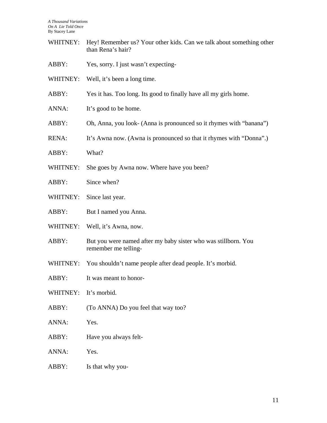| WHITNEY: Hey! Remember us? Your other kids. Can we talk about something other |
|-------------------------------------------------------------------------------|
| than Rena's hair?                                                             |

- ABBY: Yes, sorry. I just wasn't expecting-
- WHITNEY: Well, it's been a long time.
- ABBY: Yes it has. Too long. Its good to finally have all my girls home.
- ANNA: It's good to be home.
- ABBY: Oh, Anna, you look- (Anna is pronounced so it rhymes with "banana")
- RENA: It's Awna now. (Awna is pronounced so that it rhymes with "Donna".)
- ABBY: What?
- WHITNEY: She goes by Awna now. Where have you been?
- ABBY: Since when?
- WHITNEY: Since last year.
- ABBY: But I named you Anna.
- WHITNEY: Well, it's Awna, now.
- ABBY: But you were named after my baby sister who was stillborn. You remember me telling-
- WHITNEY: You shouldn't name people after dead people. It's morbid.
- ABBY: It was meant to honor-
- WHITNEY: It's morbid.
- ABBY: (To ANNA) Do you feel that way too?
- ANNA: Yes.
- ABBY: Have you always felt-
- ANNA: Yes.
- ABBY: Is that why you-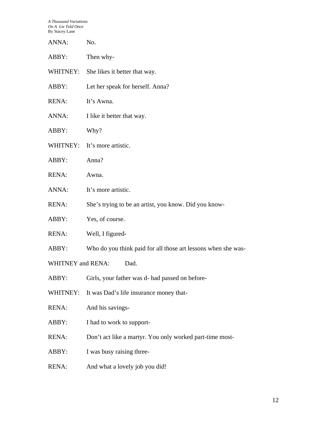| ANNA:                            | No.                                                           |  |
|----------------------------------|---------------------------------------------------------------|--|
| ABBY:                            | Then why-                                                     |  |
| WHITNEY:                         | She likes it better that way.                                 |  |
| ABBY:                            | Let her speak for herself. Anna?                              |  |
| <b>RENA:</b>                     | It's Awna.                                                    |  |
| ANNA:                            | I like it better that way.                                    |  |
| ABBY:                            | Why?                                                          |  |
|                                  | WHITNEY: It's more artistic.                                  |  |
| ABBY:                            | Anna?                                                         |  |
| RENA:                            | Awna.                                                         |  |
| ANNA:                            | It's more artistic.                                           |  |
| <b>RENA:</b>                     | She's trying to be an artist, you know. Did you know-         |  |
| ABBY:                            | Yes, of course.                                               |  |
| <b>RENA:</b>                     | Well, I figured-                                              |  |
| ABBY:                            | Who do you think paid for all those art lessons when she was- |  |
| <b>WHITNEY and RENA:</b><br>Dad. |                                                               |  |
| ABBY:                            | Girls, your father was d- had passed on before-               |  |
| WHITNEY:                         | It was Dad's life insurance money that-                       |  |
| RENA:                            | And his savings-                                              |  |
| ABBY:                            | I had to work to support-                                     |  |
| RENA:                            | Don't act like a martyr. You only worked part-time most-      |  |
| ABBY:                            | I was busy raising three-                                     |  |
| <b>RENA:</b>                     | And what a lovely job you did!                                |  |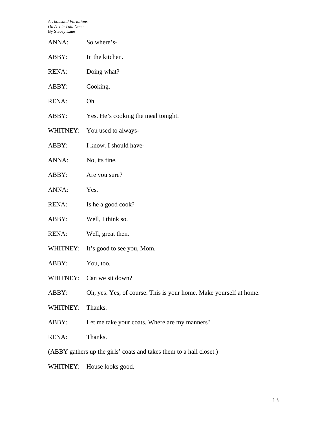- ANNA: So where's-
- ABBY: In the kitchen.
- RENA: Doing what?
- ABBY: Cooking.
- RENA: Oh.
- ABBY: Yes. He's cooking the meal tonight.
- WHITNEY: You used to always-
- ABBY: I know. I should have-
- ANNA: No, its fine.
- ABBY: Are you sure?
- ANNA: Yes.
- RENA: Is he a good cook?
- ABBY: Well, I think so.
- RENA: Well, great then.
- WHITNEY: It's good to see you, Mom.
- ABBY: You, too.
- WHITNEY: Can we sit down?
- ABBY: Oh, yes. Yes, of course. This is your home. Make yourself at home.
- WHITNEY: Thanks.
- ABBY: Let me take your coats. Where are my manners?
- RENA: Thanks.
- (ABBY gathers up the girls' coats and takes them to a hall closet.)
- WHITNEY: House looks good.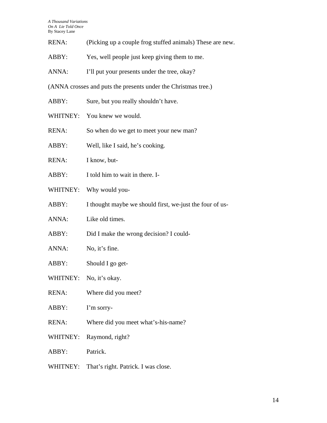- RENA: (Picking up a couple frog stuffed animals) These are new.
- ABBY: Yes, well people just keep giving them to me.
- ANNA: I'll put your presents under the tree, okay?

(ANNA crosses and puts the presents under the Christmas tree.)

- ABBY: Sure, but you really shouldn't have.
- WHITNEY: You knew we would.
- RENA: So when do we get to meet your new man?
- ABBY: Well, like I said, he's cooking.
- RENA: I know, but-
- ABBY: I told him to wait in there. I-
- WHITNEY: Why would you-
- ABBY: I thought maybe we should first, we-just the four of us-
- ANNA: Like old times.
- ABBY: Did I make the wrong decision? I could-
- ANNA: No, it's fine.
- ABBY: Should I go get-
- WHITNEY: No, it's okay.
- RENA: Where did you meet?
- ABBY: I'm sorry-
- RENA: Where did you meet what's-his-name?
- WHITNEY: Raymond, right?
- ABBY: Patrick.
- WHITNEY: That's right. Patrick. I was close.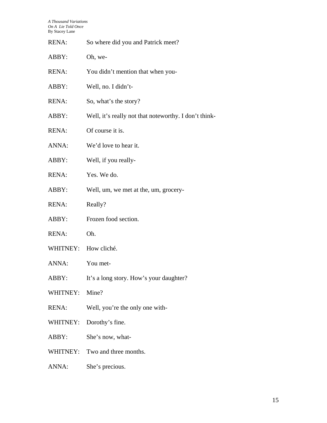| <b>RENA:</b> | So where did you and Patrick meet?                    |
|--------------|-------------------------------------------------------|
| ABBY:        | Oh, we-                                               |
| <b>RENA:</b> | You didn't mention that when you-                     |
| ABBY:        | Well, no. I didn't-                                   |
| <b>RENA:</b> | So, what's the story?                                 |
| ABBY:        | Well, it's really not that noteworthy. I don't think- |
| <b>RENA:</b> | Of course it is.                                      |
| ANNA:        | We'd love to hear it.                                 |
| ABBY:        | Well, if you really-                                  |
| RENA:        | Yes. We do.                                           |
| ABBY:        | Well, um, we met at the, um, grocery-                 |
| <b>RENA:</b> | Really?                                               |
| ABBY:        | Frozen food section.                                  |
| <b>RENA:</b> | Oh.                                                   |
| WHITNEY:     | How cliché.                                           |
| ANNA:        | You met-                                              |
| ABBY:        | It's a long story. How's your daughter?               |
| WHITNEY:     | Mine?                                                 |
| <b>RENA:</b> | Well, you're the only one with-                       |
| WHITNEY:     | Dorothy's fine.                                       |
| ABBY:        | She's now, what-                                      |
| WHITNEY:     | Two and three months.                                 |
| ANNA:        | She's precious.                                       |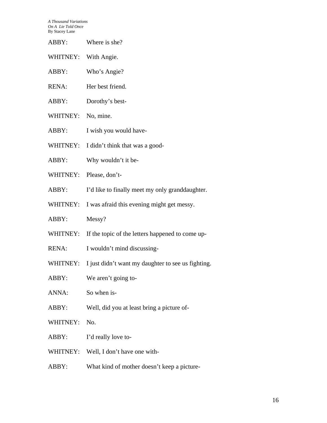WHITNEY: With Angie.

- ABBY: Who's Angie?
- RENA: Her best friend.
- ABBY: Dorothy's best-
- WHITNEY: No, mine.
- ABBY: I wish you would have-
- WHITNEY: I didn't think that was a good-
- ABBY: Why wouldn't it be-
- WHITNEY: Please, don't-
- ABBY: I'd like to finally meet my only granddaughter.
- WHITNEY: I was afraid this evening might get messy.
- ABBY: Messy?
- WHITNEY: If the topic of the letters happened to come up-
- RENA: I wouldn't mind discussing-
- WHITNEY: I just didn't want my daughter to see us fighting.
- ABBY: We aren't going to-

ANNA: So when is-

- ABBY: Well, did you at least bring a picture of-
- WHITNEY: No.
- ABBY: I'd really love to-
- WHITNEY: Well, I don't have one with-
- ABBY: What kind of mother doesn't keep a picture-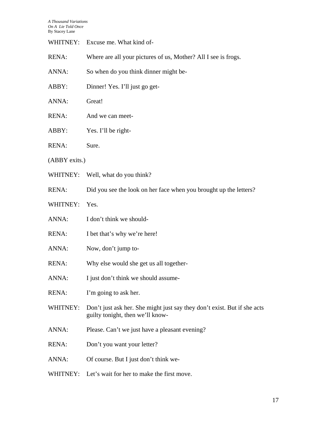| WHITNEY:      | Excuse me. What kind of-                                                                                     |  |
|---------------|--------------------------------------------------------------------------------------------------------------|--|
| RENA:         | Where are all your pictures of us, Mother? All I see is frogs.                                               |  |
| ANNA:         | So when do you think dinner might be-                                                                        |  |
| ABBY:         | Dinner! Yes. I'll just go get-                                                                               |  |
| ANNA:         | Great!                                                                                                       |  |
| <b>RENA:</b>  | And we can meet-                                                                                             |  |
| ABBY:         | Yes. I'll be right-                                                                                          |  |
| <b>RENA:</b>  | Sure.                                                                                                        |  |
| (ABBY exits.) |                                                                                                              |  |
|               | WHITNEY: Well, what do you think?                                                                            |  |
| <b>RENA:</b>  | Did you see the look on her face when you brought up the letters?                                            |  |
| WHITNEY:      | Yes.                                                                                                         |  |
| ANNA:         | I don't think we should-                                                                                     |  |
| <b>RENA:</b>  | I bet that's why we're here!                                                                                 |  |
| ANNA:         | Now, don't jump to-                                                                                          |  |
| RENA:         | Why else would she get us all together-                                                                      |  |
| ANNA:         | I just don't think we should assume-                                                                         |  |
| <b>RENA:</b>  | I'm going to ask her.                                                                                        |  |
| WHITNEY:      | Don't just ask her. She might just say they don't exist. But if she acts<br>guilty tonight, then we'll know- |  |
| ANNA:         | Please. Can't we just have a pleasant evening?                                                               |  |
| <b>RENA:</b>  | Don't you want your letter?                                                                                  |  |
| ANNA:         | Of course. But I just don't think we-                                                                        |  |
|               | WHITNEY: Let's wait for her to make the first move.                                                          |  |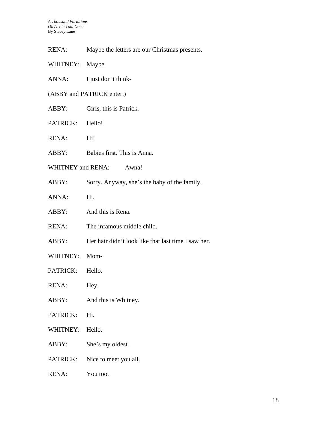- RENA: Maybe the letters are our Christmas presents.
- WHITNEY: Maybe.
- ANNA: I just don't think-
- (ABBY and PATRICK enter.)
- ABBY: Girls, this is Patrick.
- PATRICK: Hello!
- RENA: Hi!
- ABBY: Babies first. This is Anna.
- WHITNEY and RENA: Awna!
- ABBY: Sorry. Anyway, she's the baby of the family.
- ANNA: Hi.
- ABBY: And this is Rena.
- RENA: The infamous middle child.
- ABBY: Her hair didn't look like that last time I saw her.
- WHITNEY: Mom-
- PATRICK: Hello.
- RENA: Hey.
- ABBY: And this is Whitney.
- PATRICK: Hi.
- WHITNEY: Hello.
- ABBY: She's my oldest.
- PATRICK: Nice to meet you all.
- RENA: You too.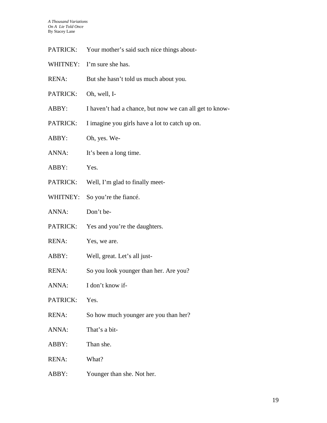| Your mother's said such nice things about- | PATRICK: |  |  |  |  |  |
|--------------------------------------------|----------|--|--|--|--|--|
|--------------------------------------------|----------|--|--|--|--|--|

| WHITNEY: | I'm sure she has. |
|----------|-------------------|
|----------|-------------------|

| <b>RENA:</b> | But she hasn't told us much about you. |
|--------------|----------------------------------------|
|--------------|----------------------------------------|

- PATRICK: Oh, well, I-
- ABBY: I haven't had a chance, but now we can all get to know-
- PATRICK: I imagine you girls have a lot to catch up on.
- ABBY: Oh, yes. We-
- ANNA: It's been a long time.
- ABBY: Yes.
- PATRICK: Well, I'm glad to finally meet-
- WHITNEY: So you're the fiance.
- ANNA: Don't be-
- PATRICK: Yes and you're the daughters.
- RENA: Yes, we are.
- ABBY: Well, great. Let's all just-
- RENA: So you look younger than her. Are you?
- ANNA: I don't know if-
- PATRICK: Yes.
- RENA: So how much younger are you than her?
- ANNA: That's a bit-
- ABBY: Than she.
- RENA: What?
- ABBY: Younger than she. Not her.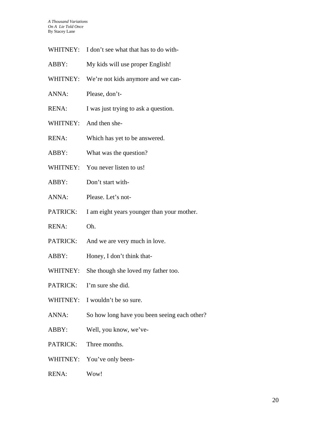- WHITNEY: I don't see what that has to do with-
- ABBY: My kids will use proper English!
- WHITNEY: We're not kids anymore and we can-
- ANNA: Please, don't-
- RENA: I was just trying to ask a question.
- WHITNEY: And then she-
- RENA: Which has yet to be answered.
- ABBY: What was the question?
- WHITNEY: You never listen to us!
- ABBY: Don't start with-
- ANNA: Please. Let's not-
- PATRICK: I am eight years younger than your mother.
- RENA: Oh.
- PATRICK: And we are very much in love.
- ABBY: Honey, I don't think that-
- WHITNEY: She though she loved my father too.
- PATRICK: I'm sure she did.
- WHITNEY: I wouldn't be so sure.
- ANNA: So how long have you been seeing each other?
- ABBY: Well, you know, we've-
- PATRICK: Three months.
- WHITNEY: You've only been-
- RENA: Wow!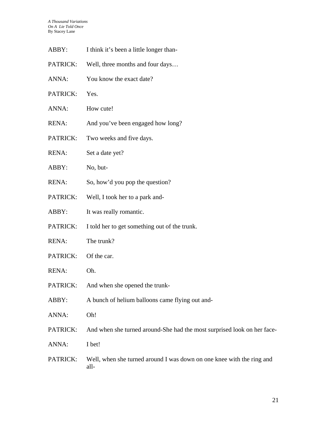| ABBY:        | I think it's been a little longer than-                                       |
|--------------|-------------------------------------------------------------------------------|
| PATRICK:     | Well, three months and four days                                              |
| ANNA:        | You know the exact date?                                                      |
| PATRICK:     | Yes.                                                                          |
| ANNA:        | How cute!                                                                     |
| <b>RENA:</b> | And you've been engaged how long?                                             |
| PATRICK:     | Two weeks and five days.                                                      |
| <b>RENA:</b> | Set a date yet?                                                               |
| ABBY:        | No, but-                                                                      |
| <b>RENA:</b> | So, how'd you pop the question?                                               |
| PATRICK:     | Well, I took her to a park and-                                               |
| ABBY:        | It was really romantic.                                                       |
| PATRICK:     | I told her to get something out of the trunk.                                 |
| <b>RENA:</b> | The trunk?                                                                    |
| PATRICK:     | Of the car.                                                                   |
| <b>RENA:</b> | Oh.                                                                           |
| PATRICK:     | And when she opened the trunk-                                                |
| ABBY:        | A bunch of helium balloons came flying out and-                               |
| ANNA:        | Oh!                                                                           |
| PATRICK:     | And when she turned around-She had the most surprised look on her face-       |
| ANNA:        | I bet!                                                                        |
| PATRICK:     | Well, when she turned around I was down on one knee with the ring and<br>all- |

21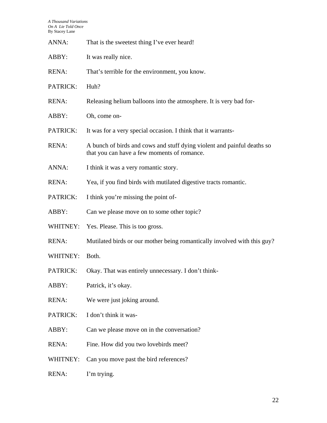| ANNA:        | That is the sweetest thing I've ever heard!                                                                            |
|--------------|------------------------------------------------------------------------------------------------------------------------|
| ABBY:        | It was really nice.                                                                                                    |
| <b>RENA:</b> | That's terrible for the environment, you know.                                                                         |
| PATRICK:     | Huh?                                                                                                                   |
| RENA:        | Releasing helium balloons into the atmosphere. It is very bad for-                                                     |
| ABBY:        | Oh, come on-                                                                                                           |
| PATRICK:     | It was for a very special occasion. I think that it warrants-                                                          |
| <b>RENA:</b> | A bunch of birds and cows and stuff dying violent and painful deaths so<br>that you can have a few moments of romance. |
| ANNA:        | I think it was a very romantic story.                                                                                  |
| <b>RENA:</b> | Yea, if you find birds with mutilated digestive tracts romantic.                                                       |
| PATRICK:     | I think you're missing the point of-                                                                                   |
| ABBY:        | Can we please move on to some other topic?                                                                             |
| WHITNEY:     | Yes. Please. This is too gross.                                                                                        |
| <b>RENA:</b> | Mutilated birds or our mother being romantically involved with this guy?                                               |
| WHITNEY:     | Both.                                                                                                                  |
| PATRICK:     | Okay. That was entirely unnecessary. I don't think-                                                                    |
| ABBY:        | Patrick, it's okay.                                                                                                    |
| <b>RENA:</b> | We were just joking around.                                                                                            |
| PATRICK:     | I don't think it was-                                                                                                  |
| ABBY:        | Can we please move on in the conversation?                                                                             |
| <b>RENA:</b> | Fine. How did you two lovebirds meet?                                                                                  |
| WHITNEY:     | Can you move past the bird references?                                                                                 |
| <b>RENA:</b> | I'm trying.                                                                                                            |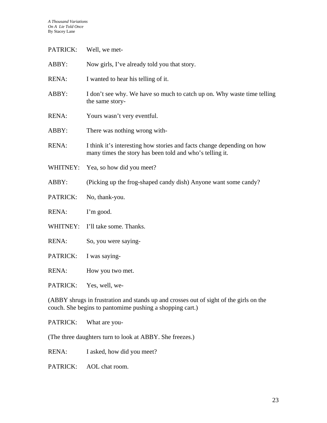| <b>PATRICK:</b> | Well, we met-                                                                                                                      |
|-----------------|------------------------------------------------------------------------------------------------------------------------------------|
| ABBY:           | Now girls, I've already told you that story.                                                                                       |
| RENA:           | I wanted to hear his telling of it.                                                                                                |
| ABBY:           | I don't see why. We have so much to catch up on. Why waste time telling<br>the same story-                                         |
| RENA:           | Yours wasn't very eventful.                                                                                                        |
| ABBY:           | There was nothing wrong with-                                                                                                      |
| RENA:           | I think it's interesting how stories and facts change depending on how<br>many times the story has been told and who's telling it. |
| WHITNEY:        | Yea, so how did you meet?                                                                                                          |
| ABBY:           | (Picking up the frog-shaped candy dish) Anyone want some candy?                                                                    |
| PATRICK:        | No, thank-you.                                                                                                                     |
| RENA:           | I'm good.                                                                                                                          |
| WHITNEY:        | I'll take some. Thanks.                                                                                                            |
| <b>RENA:</b>    | So, you were saying-                                                                                                               |
| PATRICK:        | I was saying-                                                                                                                      |
| RENA:           | How you two met.                                                                                                                   |
| <b>PATRICK:</b> | Yes, well, we-                                                                                                                     |

(ABBY shrugs in frustration and stands up and crosses out of sight of the girls on the couch. She begins to pantomime pushing a shopping cart.)

PATRICK: What are you-

(The three daughters turn to look at ABBY. She freezes.)

RENA: I asked, how did you meet?

PATRICK: AOL chat room.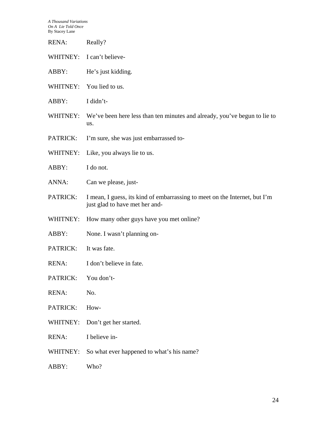| RENA:        | Really?                                                                                                      |
|--------------|--------------------------------------------------------------------------------------------------------------|
|              | WHITNEY: I can't believe-                                                                                    |
| ABBY:        | He's just kidding.                                                                                           |
| WHITNEY:     | You lied to us.                                                                                              |
| ABBY:        | I didn't-                                                                                                    |
| WHITNEY:     | We've been here less than ten minutes and already, you've begun to lie to<br>us.                             |
| PATRICK:     | I'm sure, she was just embarrassed to-                                                                       |
| WHITNEY:     | Like, you always lie to us.                                                                                  |
| ABBY:        | I do not.                                                                                                    |
| ANNA:        | Can we please, just-                                                                                         |
| PATRICK:     | I mean, I guess, its kind of embarrassing to meet on the Internet, but I'm<br>just glad to have met her and- |
| WHITNEY:     | How many other guys have you met online?                                                                     |
| ABBY:        | None. I wasn't planning on-                                                                                  |
| PATRICK:     | It was fate.                                                                                                 |
| <b>RENA:</b> | I don't believe in fate.                                                                                     |
| PATRICK:     | You don't-                                                                                                   |
| RENA:        | No.                                                                                                          |
| PATRICK:     | How-                                                                                                         |
| WHITNEY:     | Don't get her started.                                                                                       |
| RENA:        | I believe in-                                                                                                |
| WHITNEY:     | So what ever happened to what's his name?                                                                    |
| ABBY:        | Who?                                                                                                         |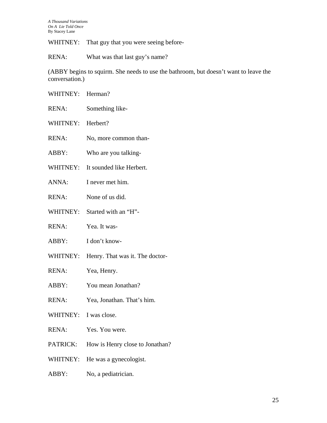WHITNEY: That guy that you were seeing before-

RENA: What was that last guy's name?

(ABBY begins to squirm. She needs to use the bathroom, but doesn't want to leave the conversation.)

| WHITNEY: Herman?      |                                 |
|-----------------------|---------------------------------|
| <b>RENA:</b>          | Something like-                 |
| WHITNEY:              | Herbert?                        |
| RENA:                 | No, more common than-           |
| ABBY:                 | Who are you talking-            |
| WHITNEY:              | It sounded like Herbert.        |
| ANNA:                 | I never met him.                |
| RENA:                 | None of us did.                 |
| WHITNEY:              | Started with an "H"-            |
| RENA:                 | Yea. It was-                    |
| ABBY:                 | I don't know-                   |
| WHITNEY:              | Henry. That was it. The doctor- |
| RENA:                 | Yea, Henry.                     |
| ABBY:                 | You mean Jonathan?              |
| RENA:                 | Yea, Jonathan. That's him.      |
| WHITNEY: I was close. |                                 |
| <b>RENA:</b>          | Yes. You were.                  |
|                       |                                 |

- PATRICK: How is Henry close to Jonathan?
- WHITNEY: He was a gynecologist.
- ABBY: No, a pediatrician.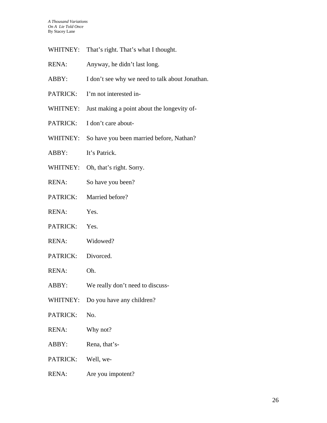- WHITNEY: That's right. That's what I thought.
- RENA: Anyway, he didn't last long.
- ABBY: I don't see why we need to talk about Jonathan.
- PATRICK: I'm not interested in-
- WHITNEY: Just making a point about the longevity of-
- PATRICK: I don't care about-
- WHITNEY: So have you been married before, Nathan?
- ABBY: It's Patrick.
- WHITNEY: Oh, that's right. Sorry.
- RENA: So have you been?
- PATRICK: Married before?
- RENA: Yes.
- PATRICK: Yes.
- RENA: Widowed?
- PATRICK: Divorced.
- RENA: Oh.
- ABBY: We really don't need to discuss-
- WHITNEY: Do you have any children?
- PATRICK: No.
- RENA: Why not?
- ABBY: Rena, that's-
- PATRICK: Well, we-
- RENA: Are you impotent?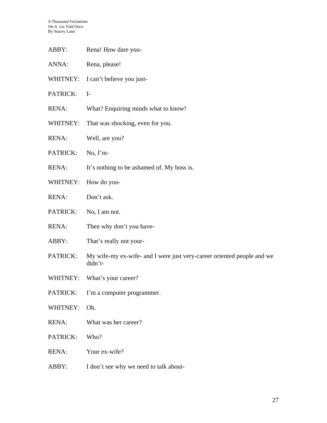- ABBY: Rena! How dare you-
- ANNA: Rena, please!
- WHITNEY: I can't believe you just-
- PATRICK: I-
- RENA: What? Enquiring minds what to know!
- WHITNEY: That was shocking, even for you.
- RENA: Well, are you?
- PATRICK: No, I'm-
- RENA: It's nothing to be ashamed of. My boss is.
- WHITNEY: How do you-
- RENA: Don't ask.
- PATRICK: No, I am not.
- RENA: Then why don't you have-
- ABBY: That's really not your-
- PATRICK: My wife-my ex-wife- and I were just very-career oriented people and we didn't-
- WHITNEY: What's your career?
- PATRICK: I'm a computer programmer.
- WHITNEY: Oh.
- RENA: What was her career?
- PATRICK: Who?
- RENA: Your ex-wife?
- ABBY: I don't see why we need to talk about-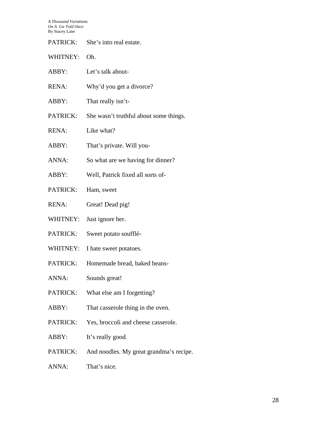| PATRICK:     | She's into real estate.                 |
|--------------|-----------------------------------------|
| WHITNEY:     | Oh.                                     |
| ABBY:        | Let's talk about-                       |
| RENA:        | Why'd you get a divorce?                |
| ABBY:        | That really isn't-                      |
| PATRICK:     | She wasn't truthful about some things.  |
| <b>RENA:</b> | Like what?                              |
| ABBY:        | That's private. Will you-               |
| ANNA:        | So what are we having for dinner?       |
| ABBY:        | Well, Patrick fixed all sorts of-       |
| PATRICK:     | Ham, sweet                              |
| <b>RENA:</b> | Great! Dead pig!                        |
| WHITNEY:     | Just ignore her.                        |
| PATRICK:     | Sweet potato soufflé-                   |
| WHITNEY:     | I hate sweet potatoes.                  |
| PATRICK:     | Homemade bread, baked beans-            |
| ANNA:        | Sounds great!                           |
| PATRICK:     | What else am I forgetting?              |
| ABBY:        | That casserole thing in the oven.       |
| PATRICK:     | Yes, broccoli and cheese casserole.     |
| ABBY:        | It's really good.                       |
| PATRICK:     | And noodles. My great grandma's recipe. |
|              |                                         |

ANNA: That's nice.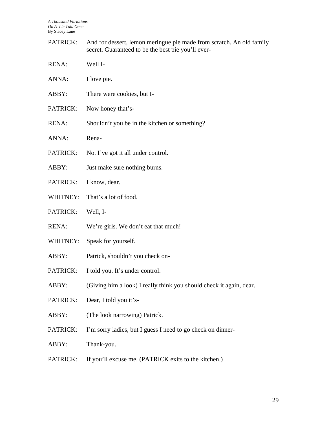PATRICK: And for dessert, lemon meringue pie made from scratch. An old family secret. Guaranteed to be the best pie you'll ever-

| <b>RENA:</b> | Well I- |
|--------------|---------|
|              |         |

- ANNA: I love pie.
- ABBY: There were cookies, but I-
- PATRICK: Now honey that's-
- RENA: Shouldn't you be in the kitchen or something?
- ANNA: Rena-
- PATRICK: No. I've got it all under control.
- ABBY: Just make sure nothing burns.
- PATRICK: I know, dear.
- WHITNEY: That's a lot of food.
- PATRICK: Well, I-
- RENA: We're girls. We don't eat that much!
- WHITNEY: Speak for yourself.
- ABBY: Patrick, shouldn't you check on-
- PATRICK: I told you. It's under control.
- ABBY: (Giving him a look) I really think you should check it again, dear.
- PATRICK: Dear, I told you it's-
- ABBY: (The look narrowing) Patrick.
- PATRICK: I'm sorry ladies, but I guess I need to go check on dinner-
- ABBY: Thank-you.
- PATRICK: If you'll excuse me. (PATRICK exits to the kitchen.)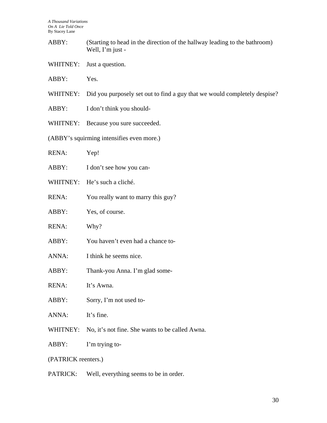- ABBY: (Starting to head in the direction of the hallway leading to the bathroom) Well, I'm just -
- WHITNEY: Just a question.
- ABBY: Yes.
- WHITNEY: Did you purposely set out to find a guy that we would completely despise?
- ABBY: I don't think you should-
- WHITNEY: Because you sure succeeded.
- (ABBY's squirming intensifies even more.)
- RENA: Yep!
- ABBY: I don't see how you can-
- WHITNEY: He's such a cliché.
- RENA: You really want to marry this guy?
- ABBY: Yes, of course.
- RENA: Why?
- ABBY: You haven't even had a chance to-
- ANNA: I think he seems nice.
- ABBY: Thank-you Anna. I'm glad some-
- RENA: It's Awna.
- ABBY: Sorry, I'm not used to-
- ANNA: It's fine.
- WHITNEY: No, it's not fine. She wants to be called Awna.
- ABBY: I'm trying to-
- (PATRICK reenters.)
- PATRICK: Well, everything seems to be in order.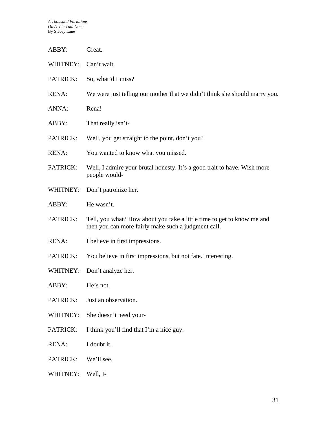| ABBY:        | Great.                                                                                                                        |
|--------------|-------------------------------------------------------------------------------------------------------------------------------|
| WHITNEY:     | Can't wait.                                                                                                                   |
| PATRICK:     | So, what'd I miss?                                                                                                            |
| <b>RENA:</b> | We were just telling our mother that we didn't think she should marry you.                                                    |
| ANNA:        | Rena!                                                                                                                         |
| ABBY:        | That really isn't-                                                                                                            |
| PATRICK:     | Well, you get straight to the point, don't you?                                                                               |
| <b>RENA:</b> | You wanted to know what you missed.                                                                                           |
| PATRICK:     | Well, I admire your brutal honesty. It's a good trait to have. Wish more<br>people would-                                     |
| WHITNEY:     | Don't patronize her.                                                                                                          |
| ABBY:        | He wasn't.                                                                                                                    |
| PATRICK:     | Tell, you what? How about you take a little time to get to know me and<br>then you can more fairly make such a judgment call. |
| <b>RENA:</b> | I believe in first impressions.                                                                                               |
| PATRICK:     | You believe in first impressions, but not fate. Interesting.                                                                  |
| WHITNEY:     | Don't analyze her.                                                                                                            |
| ABBY:        | He's not.                                                                                                                     |
| PATRICK:     | Just an observation.                                                                                                          |
| WHITNEY:     | She doesn't need your-                                                                                                        |
| PATRICK:     | I think you'll find that I'm a nice guy.                                                                                      |
| RENA:        | I doubt it.                                                                                                                   |
| PATRICK:     | We'll see.                                                                                                                    |
| WHITNEY:     | Well, I-                                                                                                                      |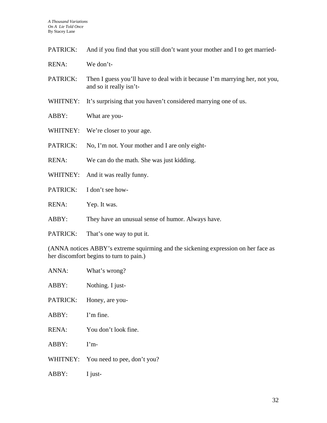| PATRICK:           | And if you find that you still don't want your mother and I to get married-                                                                                                                                                                   |
|--------------------|-----------------------------------------------------------------------------------------------------------------------------------------------------------------------------------------------------------------------------------------------|
| <b>RENA:</b>       | We don't-                                                                                                                                                                                                                                     |
| PATRICK:           | Then I guess you'll have to deal with it because I'm marrying her, not you,<br>and so it really isn't-                                                                                                                                        |
| WHITNEY:           | It's surprising that you haven't considered marrying one of us.                                                                                                                                                                               |
| ABBY:              | What are you-                                                                                                                                                                                                                                 |
| WHITNEY:           | We're closer to your age.                                                                                                                                                                                                                     |
| PATRICK:           | No, I'm not. Your mother and I are only eight-                                                                                                                                                                                                |
| <b>RENA:</b>       | We can do the math. She was just kidding.                                                                                                                                                                                                     |
| WHITNEY:           | And it was really funny.                                                                                                                                                                                                                      |
| PATRICK:           | I don't see how-                                                                                                                                                                                                                              |
| <b>RENA:</b>       | Yep. It was.                                                                                                                                                                                                                                  |
| ABBY:              | They have an unusual sense of humor. Always have.                                                                                                                                                                                             |
| PATRICK:           | That's one way to put it.                                                                                                                                                                                                                     |
| $\sqrt{1 + 2 + 3}$ | $\sim$ . The set of the set of the set of the set of the set of the set of the set of the set of the set of the set of the set of the set of the set of the set of the set of the set of the set of the set of the set of the s<br>$\sqrt{2}$ |

(ANNA notices ABBY's extreme squirming and the sickening expression on her face as her discomfort begins to turn to pain.)

you?

| ANNA:        | What's wrong?          |
|--------------|------------------------|
| ABBY:        | Nothing. I just-       |
| PATRICK:     | Honey, are you-        |
| ABBY:        | I'm fine.              |
| <b>RENA:</b> | You don't look fine.   |
| ABBY:        | $\Gamma$ m-            |
| WHITNEY:     | You need to pee, don't |
| ABBY:        | I just-                |
|              |                        |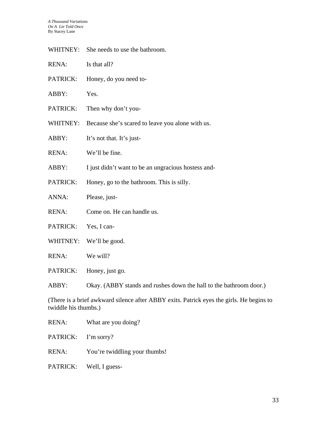WHITNEY: She needs to use the bathroom.

- PATRICK: Honey, do you need to-
- ABBY: Yes.
- PATRICK: Then why don't you-
- WHITNEY: Because she's scared to leave you alone with us.
- ABBY: It's not that. It's just-
- RENA: We'll be fine.
- ABBY: I just didn't want to be an ungracious hostess and-
- PATRICK: Honey, go to the bathroom. This is silly.
- ANNA: Please, just-
- RENA: Come on. He can handle us.
- PATRICK: Yes, I can-
- WHITNEY: We'll be good.
- RENA: We will?
- PATRICK: Honey, just go.

ABBY: Okay. (ABBY stands and rushes down the hall to the bathroom door.)

(There is a brief awkward silence after ABBY exits. Patrick eyes the girls. He begins to twiddle his thumbs.)

RENA: What are you doing?

PATRICK: I'm sorry?

- RENA: You're twiddling your thumbs!
- PATRICK: Well, I guess-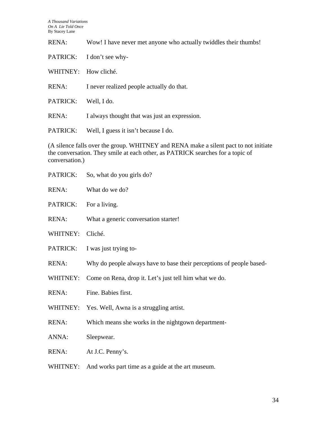RENA: Wow! I have never met anyone who actually twiddles their thumbs!

PATRICK: I don't see why-

WHITNEY: How cliché.

RENA: I never realized people actually do that.

PATRICK: Well, I do.

RENA: I always thought that was just an expression.

PATRICK: Well, I guess it isn't because I do.

(A silence falls over the group. WHITNEY and RENA make a silent pact to not initiate the conversation. They smile at each other, as PATRICK searches for a topic of conversation.)

| PATRICK:     | So, what do you girls do?                                            |
|--------------|----------------------------------------------------------------------|
| <b>RENA:</b> | What do we do?                                                       |
| PATRICK:     | For a living.                                                        |
| <b>RENA:</b> | What a generic conversation starter!                                 |
| WHITNEY:     | Cliché.                                                              |
| PATRICK:     | I was just trying to-                                                |
| <b>RENA:</b> | Why do people always have to base their perceptions of people based- |
| WHITNEY:     | Come on Rena, drop it. Let's just tell him what we do.               |
| <b>RENA:</b> | Fine. Babies first.                                                  |
|              | WHITNEY: Yes. Well, Awna is a struggling artist.                     |
| <b>RENA:</b> | Which means she works in the nightgown department-                   |
| ANNA:        | Sleepwear.                                                           |
| <b>RENA:</b> | At J.C. Penny's.                                                     |
| WHITNEY:     | And works part time as a guide at the art museum.                    |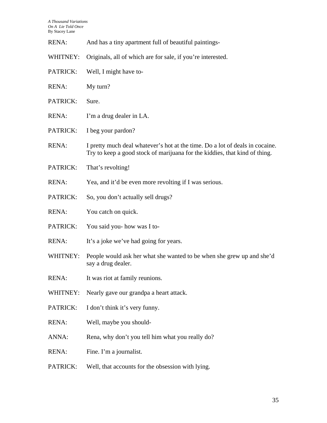| <b>RENA:</b> | And has a tiny apartment full of beautiful paintings-                                                                                                      |
|--------------|------------------------------------------------------------------------------------------------------------------------------------------------------------|
| WHITNEY:     | Originals, all of which are for sale, if you're interested.                                                                                                |
| PATRICK:     | Well, I might have to-                                                                                                                                     |
| <b>RENA:</b> | My turn?                                                                                                                                                   |
| PATRICK:     | Sure.                                                                                                                                                      |
| <b>RENA:</b> | I'm a drug dealer in LA.                                                                                                                                   |
| PATRICK:     | I beg your pardon?                                                                                                                                         |
| <b>RENA:</b> | I pretty much deal whatever's hot at the time. Do a lot of deals in cocaine.<br>Try to keep a good stock of marijuana for the kiddies, that kind of thing. |
| PATRICK:     | That's revolting!                                                                                                                                          |
| <b>RENA:</b> | Yea, and it'd be even more revolting if I was serious.                                                                                                     |
| PATRICK:     | So, you don't actually sell drugs?                                                                                                                         |
| <b>RENA:</b> | You catch on quick.                                                                                                                                        |
| PATRICK:     | You said you- how was I to-                                                                                                                                |
| <b>RENA:</b> | It's a joke we've had going for years.                                                                                                                     |
| WHITNEY:     | People would ask her what she wanted to be when she grew up and she'd<br>say a drug dealer.                                                                |
| RENA:        | It was riot at family reunions.                                                                                                                            |
| WHITNEY:     | Nearly gave our grandpa a heart attack.                                                                                                                    |
| PATRICK:     | I don't think it's very funny.                                                                                                                             |
| <b>RENA:</b> | Well, maybe you should-                                                                                                                                    |
| ANNA:        | Rena, why don't you tell him what you really do?                                                                                                           |
| <b>RENA:</b> | Fine. I'm a journalist.                                                                                                                                    |
| PATRICK:     | Well, that accounts for the obsession with lying.                                                                                                          |
|              |                                                                                                                                                            |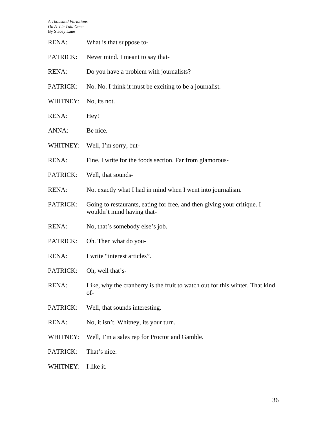| <b>RENA:</b> | What is that suppose to-                                                                              |
|--------------|-------------------------------------------------------------------------------------------------------|
| PATRICK:     | Never mind. I meant to say that-                                                                      |
| <b>RENA:</b> | Do you have a problem with journalists?                                                               |
| PATRICK:     | No. No. I think it must be exciting to be a journalist.                                               |
| WHITNEY:     | No, its not.                                                                                          |
| <b>RENA:</b> | Hey!                                                                                                  |
| ANNA:        | Be nice.                                                                                              |
| WHITNEY:     | Well, I'm sorry, but-                                                                                 |
| <b>RENA:</b> | Fine. I write for the foods section. Far from glamorous-                                              |
| PATRICK:     | Well, that sounds-                                                                                    |
| <b>RENA:</b> | Not exactly what I had in mind when I went into journalism.                                           |
| PATRICK:     | Going to restaurants, eating for free, and then giving your critique. I<br>wouldn't mind having that- |
| <b>RENA:</b> | No, that's somebody else's job.                                                                       |
| PATRICK:     | Oh. Then what do you-                                                                                 |
| <b>RENA:</b> | I write "interest articles".                                                                          |
| PATRICK:     | Oh, well that's-                                                                                      |
| <b>RENA:</b> | Like, why the cranberry is the fruit to watch out for this winter. That kind<br>of-                   |
| PATRICK:     | Well, that sounds interesting.                                                                        |
| <b>RENA:</b> | No, it isn't. Whitney, its your turn.                                                                 |
| WHITNEY:     | Well, I'm a sales rep for Proctor and Gamble.                                                         |
| PATRICK:     | That's nice.                                                                                          |
| WHITNEY:     | I like it.                                                                                            |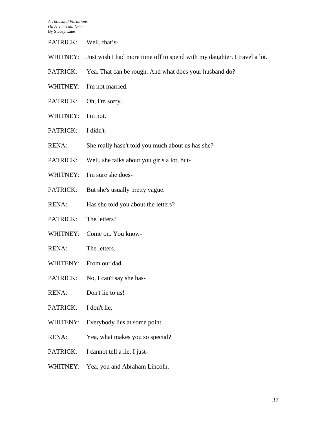PATRICK: Well, that's-

- WHITNEY: Just wish I had more time off to spend with my daughter. I travel a lot.
- PATRICK: Yea. That can be rough. And what does your husband do?
- WHITNEY: I'm not married.
- PATRICK: Oh, I'm sorry.
- WHITNEY: I'm not.
- PATRICK: I didn't-
- RENA: She really hasn't told you much about us has she?
- PATRICK: Well, she talks about you girls a lot, but-
- WHITNEY: I'm sure she does-
- PATRICK: But she's usually pretty vague.
- RENA: Has she told you about the letters?
- PATRICK: The letters?
- WHITNEY: Come on. You know-
- RENA: The letters.
- WHITENY: From our dad.
- PATRICK: No, I can't say she has-
- RENA: Don't lie to us!
- PATRICK: I don't lie.
- WHITENY: Everybody lies at some point.
- RENA: Yea, what makes you so special?
- PATRICK: I cannot tell a lie. I just-
- WHITNEY: Yea, you and Abraham Lincoln.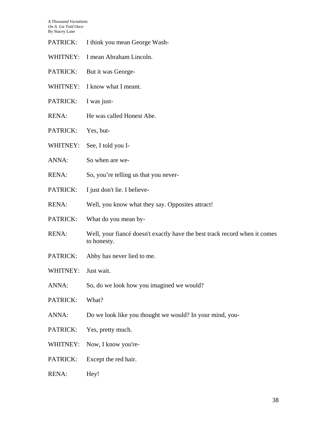- PATRICK: I think you mean George Wash-
- WHITNEY: I mean Abraham Lincoln.
- PATRICK: But it was George-
- WHITNEY: I know what I meant.
- PATRICK: I was just-
- RENA: He was called Honest Abe.
- PATRICK: Yes, but-
- WHITNEY: See, I told you I-
- ANNA: So when are we-
- RENA: So, you're telling us that you never-
- PATRICK: I just don't lie. I believe-
- RENA: Well, you know what they say. Opposites attract!
- PATRICK: What do you mean by-
- RENA: Well, your fiancé doesn't exactly have the best track record when it comes to honesty.
- PATRICK: Abby has never lied to me.
- WHITNEY: Just wait.
- ANNA: So, do we look how you imagined we would?
- PATRICK: What?
- ANNA: Do we look like you thought we would? In your mind, you-
- PATRICK: Yes, pretty much.
- WHITNEY: Now, I know you're-
- PATRICK: Except the red hair.
- RENA: Hey!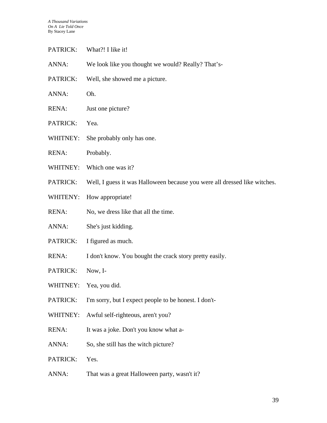- PATRICK: What?! I like it!
- ANNA: We look like you thought we would? Really? That's-
- PATRICK: Well, she showed me a picture.
- ANNA: Oh.
- RENA: Just one picture?
- PATRICK: Yea.
- WHITNEY: She probably only has one.
- RENA: Probably.
- WHITNEY: Which one was it?
- PATRICK: Well, I guess it was Halloween because you were all dressed like witches.
- WHITENY: How appropriate!
- RENA: No, we dress like that all the time.
- ANNA: She's just kidding.
- PATRICK: I figured as much.
- RENA: I don't know. You bought the crack story pretty easily.
- PATRICK: Now, I-
- WHITNEY: Yea, you did.
- PATRICK: I'm sorry, but I expect people to be honest. I don't-
- WHITNEY: Awful self-righteous, aren't you?
- RENA: It was a joke. Don't you know what a-
- ANNA: So, she still has the witch picture?
- PATRICK: Yes.
- ANNA: That was a great Halloween party, wasn't it?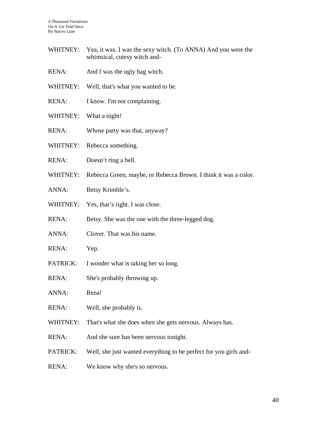- WHITNEY: Yea, it was. I was the sexy witch. (To ANNA) And you were the whimsical, cutesy witch and-
- RENA: And I was the ugly hag witch.
- WHITNEY: Well, that's what you wanted to be.
- RENA: I know. I'm not complaining.
- WHITNEY: What a night!
- RENA: Whose party was that, anyway?
- WHITNEY: Rebecca something.
- RENA: Doesn't ring a bell.
- WHITNEY: Rebecca Green, maybe, or Rebecca Brown. I think it was a color.
- ANNA: Betsy Krimble's.
- WHITNEY: Yes, that's right. I was close.
- RENA: Betsy. She was the one with the three-legged dog.
- ANNA: Clover. That was his name.
- RENA: Yep.
- PATRICK: I wonder what is taking her so long.
- RENA: She's probably throwing up.
- ANNA: Rena!
- RENA: Well, she probably is.
- WHITNEY: That's what she does when she gets nervous. Always has.
- RENA: And she sure has been nervous tonight.
- PATRICK: Well, she just wanted everything to be perfect for you girls and-
- RENA: We know why she's so nervous.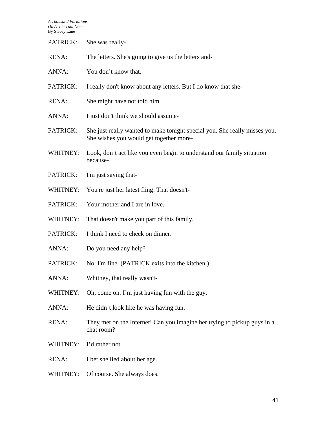| PATRICK:     | She was really-                                                                                                       |
|--------------|-----------------------------------------------------------------------------------------------------------------------|
| <b>RENA:</b> | The letters. She's going to give us the letters and-                                                                  |
| ANNA:        | You don't know that.                                                                                                  |
| PATRICK:     | I really don't know about any letters. But I do know that she-                                                        |
| <b>RENA:</b> | She might have not told him.                                                                                          |
| ANNA:        | I just don't think we should assume-                                                                                  |
| PATRICK:     | She just really wanted to make tonight special you. She really misses you.<br>She wishes you would get together more- |
| WHITNEY:     | Look, don't act like you even begin to understand our family situation<br>because-                                    |
| PATRICK:     | I'm just saying that-                                                                                                 |
| WHITNEY:     | You're just her latest fling. That doesn't-                                                                           |
| PATRICK:     | Your mother and I are in love.                                                                                        |
| WHITNEY:     | That doesn't make you part of this family.                                                                            |
| PATRICK:     | I think I need to check on dinner.                                                                                    |
| ANNA:        | Do you need any help?                                                                                                 |
| PATRICK:     | No. I'm fine. (PATRICK exits into the kitchen.)                                                                       |
| ANNA:        | Whitney, that really wasn't-                                                                                          |
| WHITNEY:     | Oh, come on. I'm just having fun with the guy.                                                                        |
| ANNA:        | He didn't look like he was having fun.                                                                                |
| <b>RENA:</b> | They met on the Internet! Can you imagine her trying to pickup guys in a<br>chat room?                                |
| WHITNEY:     | I'd rather not.                                                                                                       |
| <b>RENA:</b> | I bet she lied about her age.                                                                                         |
| WHITNEY:     | Of course. She always does.                                                                                           |
|              |                                                                                                                       |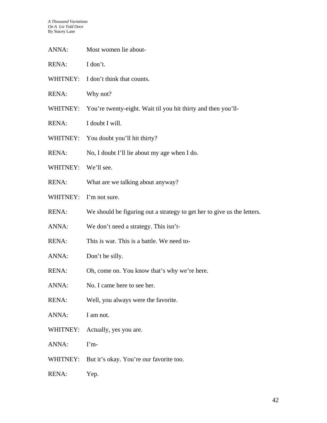- ANNA: Most women lie about-
- RENA: I don't.
- WHITNEY: I don't think that counts.
- RENA: Why not?
- WHITNEY: You're twenty-eight. Wait til you hit thirty and then you'll-
- RENA: I doubt I will.
- WHITNEY: You doubt you'll hit thirty?
- RENA: No, I doubt I'll lie about my age when I do.
- WHITNEY: We'll see.
- RENA: What are we talking about anyway?
- WHITNEY: I'm not sure.
- RENA: We should be figuring out a strategy to get her to give us the letters.
- ANNA: We don't need a strategy. This isn't-
- RENA: This is war. This is a battle. We need to-
- ANNA: Don't be silly.
- RENA: Oh, come on. You know that's why we're here.
- ANNA: No. I came here to see her.
- RENA: Well, you always were the favorite.
- ANNA: I am not.
- WHITNEY: Actually, yes you are.
- ANNA: I'm-
- WHITNEY: But it's okay. You're our favorite too.
- RENA: Yep.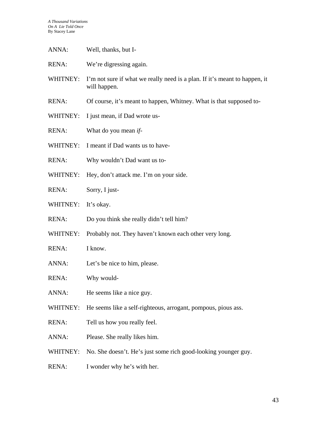- ANNA: Well, thanks, but I-
- RENA: We're digressing again.
- WHITNEY: I'm not sure if what we really need is a plan. If it's meant to happen, it will happen.
- RENA: Of course, it's meant to happen, Whitney. What is that supposed to-
- WHITNEY: I just mean, if Dad wrote us-
- RENA: What do you mean *if*-
- WHITNEY: I meant if Dad wants us to have-
- RENA: Why wouldn't Dad want us to-
- WHITNEY: Hey, don't attack me. I'm on your side.
- RENA: Sorry, I just-
- WHITNEY: It's okay.
- RENA: Do you think she really didn't tell him?
- WHITNEY: Probably not. They haven't known each other very long.
- RENA: I know.
- ANNA: Let's be nice to him, please.
- RENA: Why would-
- ANNA: He seems like a nice guy.
- WHITNEY: He seems like a self-righteous, arrogant, pompous, pious ass.
- RENA: Tell us how you really feel.
- ANNA: Please. She really likes him.
- WHITNEY: No. She doesn't. He's just some rich good-looking younger guy.
- RENA: I wonder why he's with her.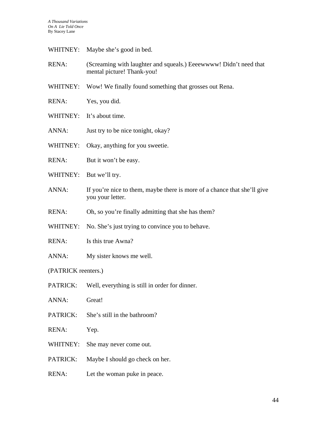- WHITNEY: Maybe she's good in bed.
- RENA: (Screaming with laughter and squeals.) Eeeewwww! Didn't need that mental picture! Thank-you!
- WHITNEY: Wow! We finally found something that grosses out Rena.
- RENA: Yes, you did.
- WHITNEY: It's about time.
- ANNA: Just try to be nice tonight, okay?
- WHITNEY: Okay, anything for you sweetie.
- RENA: But it won't be easy.
- WHITNEY: But we'll try.
- ANNA: If you're nice to them, maybe there is more of a chance that she'll give you your letter.
- RENA: Oh, so you're finally admitting that she has them?
- WHITNEY: No. She's just trying to convince you to behave.
- RENA: Is this true Awna?
- ANNA: My sister knows me well.
- (PATRICK reenters.)
- PATRICK: Well, everything is still in order for dinner.
- ANNA: Great!
- PATRICK: She's still in the bathroom?
- RENA: Yep.
- WHITNEY: She may never come out.
- PATRICK: Maybe I should go check on her.
- RENA: Let the woman puke in peace.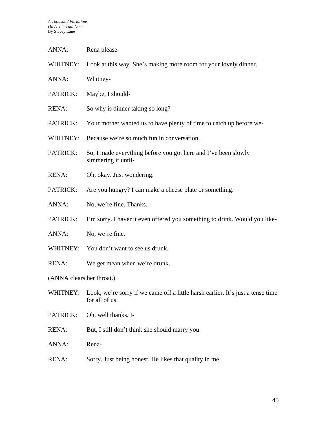WHITNEY: Look at this way. She's making more room for your lovely dinner.

- ANNA: Whitney-
- PATRICK: Maybe, I should-
- RENA: So why is dinner taking so long?
- PATRICK: Your mother wanted us to have plenty of time to catch up before we-
- WHITNEY: Because we're so much fun in conversation.
- PATRICK: So, I made everything before you got here and I've been slowly simmering it until-
- RENA: Oh, okay. Just wondering.
- PATRICK: Are you hungry? I can make a cheese plate or something.
- ANNA: No, we're fine. Thanks.
- PATRICK: I'm sorry. I haven't even offered you something to drink. Would you like-
- ANNA: No, we're fine.
- WHITNEY: You don't want to see us drunk.
- RENA: We get mean when we're drunk.

(ANNA clears her throat.)

- WHITNEY: Look, we're sorry if we came off a little harsh earlier. It's just a tense time for all of us.
- PATRICK: Oh, well thanks. I-
- RENA: But, I still don't think she should marry you.
- ANNA: Rena-
- RENA: Sorry. Just being honest. He likes that quality in me.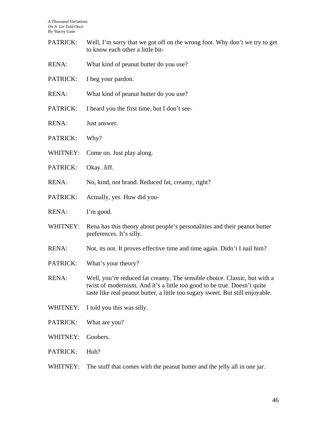| Well, I'm sorry that we got off on the wrong foot. Why don't we try to get<br>to know each other a little bit-                                                                                                                          |
|-----------------------------------------------------------------------------------------------------------------------------------------------------------------------------------------------------------------------------------------|
| What kind of peanut butter do you use?                                                                                                                                                                                                  |
| I beg your pardon.                                                                                                                                                                                                                      |
| What kind of peanut butter do you use?                                                                                                                                                                                                  |
| I heard you the first time, but I don't see-                                                                                                                                                                                            |
| Just answer.                                                                                                                                                                                                                            |
| Why?                                                                                                                                                                                                                                    |
| Come on. Just play along.                                                                                                                                                                                                               |
| Okay. Jiff.                                                                                                                                                                                                                             |
| No, kind, not brand. Reduced fat, creamy, right?                                                                                                                                                                                        |
| Actually, yes. How did you-                                                                                                                                                                                                             |
| I'm good.                                                                                                                                                                                                                               |
| Rena has this theory about people's personalities and their peanut butter<br>preferences. It's silly.                                                                                                                                   |
| Not, its not. It proves effective time and time again. Didn't I nail him?                                                                                                                                                               |
| What's your theory?                                                                                                                                                                                                                     |
| Well, you're reduced fat creamy. The sensible choice. Classic, but with a<br>twist of modernism. And it's a little too good to be true. Doesn't quite<br>taste like real peanut butter, a little too sugary sweet. But still enjoyable. |
| I told you this was silly.                                                                                                                                                                                                              |
| What are you?                                                                                                                                                                                                                           |
| Goobers.                                                                                                                                                                                                                                |
| Huh?                                                                                                                                                                                                                                    |
| The stuff that comes with the peanut butter and the jelly all in one jar.                                                                                                                                                               |
|                                                                                                                                                                                                                                         |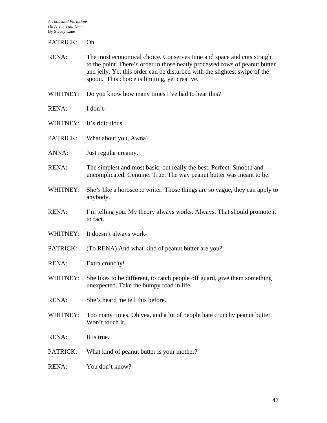PATRICK: Oh.

- RENA: The most economical choice. Conserves time and space and cuts straight to the point. There's order in those neatly processed rows of peanut butter and jelly. Yet this order can be disturbed with the slightest swipe of the spoon. This choice is limiting, yet creative.
- WHITNEY: Do you know how many times I've had to hear this?
- RENA: I don't-
- WHITNEY: It's ridiculous.
- PATRICK: What about you, Awna?
- ANNA: Just regular creamy.
- RENA: The simplest and most basic, but really the best. Perfect. Smooth and uncomplicated. Genuine. True. The way peanut butter was meant to be.
- WHITNEY: She's like a horoscope writer. Those things are so vague, they can apply to anybody.
- RENA: I'm telling you. My theory always works. Always. That should promote it to fact.
- WHITNEY: It doesn't always work-
- PATRICK: (To RENA) And what kind of peanut butter are you?
- RENA: Extra crunchy!
- WHITNEY: She likes to be different, to catch people off guard, give them something unexpected. Take the bumpy road in life.
- RENA: She's heard me tell this before.
- WHITNEY: Too many times. Oh yea, and a lot of people hate crunchy peanut butter. Won't touch it.
- RENA: It is true.
- PATRICK: What kind of peanut butter is your mother?
- RENA: You don't know?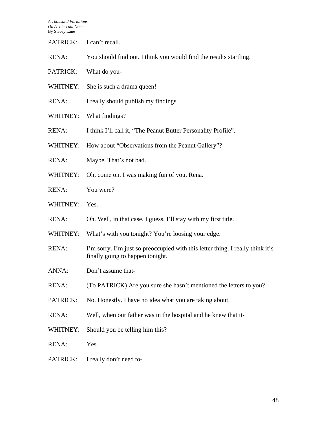PATRICK: I can't recall.

- RENA: You should find out. I think you would find the results startling.
- PATRICK: What do you-
- WHITNEY: She is such a drama queen!
- RENA: I really should publish my findings.
- WHITNEY: What findings?
- RENA: I think I'll call it, "The Peanut Butter Personality Profile".
- WHITNEY: How about "Observations from the Peanut Gallery"?
- RENA: Maybe. That's not bad.
- WHITNEY: Oh, come on. I was making fun of you, Rena.
- RENA: You were?
- WHITNEY: Yes.
- RENA: Oh. Well, in that case, I guess, I'll stay with my first title.
- WHITNEY: What's with you tonight? You're loosing your edge.
- RENA: I'm sorry. I'm just so preoccupied with this letter thing. I really think it's finally going to happen tonight.
- ANNA: Don't assume that-
- RENA: (To PATRICK) Are you sure she hasn't mentioned the letters to you?
- PATRICK: No. Honestly. I have no idea what you are taking about.
- RENA: Well, when our father was in the hospital and he knew that it-
- WHITNEY: Should you be telling him this?
- RENA: Yes.
- PATRICK: I really don't need to-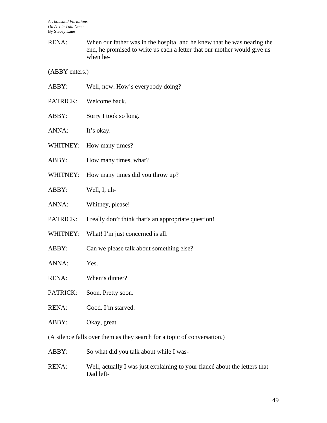RENA: When our father was in the hospital and he knew that he was nearing the end, he promised to write us each a letter that our mother would give us when he-

(ABBY enters.)

| ABBY:    | Well, now. How's everybody doing?                                       |
|----------|-------------------------------------------------------------------------|
| PATRICK: | Welcome back.                                                           |
| ABBY:    | Sorry I took so long.                                                   |
| ANNA:    | It's okay.                                                              |
| WHITNEY: | How many times?                                                         |
| ABBY:    | How many times, what?                                                   |
| WHITNEY: | How many times did you throw up?                                        |
| ABBY:    | Well, I, uh-                                                            |
| ANNA:    | Whitney, please!                                                        |
| PATRICK: | I really don't think that's an appropriate question!                    |
| WHITNEY: | What! I'm just concerned is all.                                        |
| ABBY:    | Can we please talk about something else?                                |
| ANNA:    | Yes.                                                                    |
| RENA:    | When's dinner?                                                          |
| PATRICK: | Soon. Pretty soon.                                                      |
| RENA:    | Good. I'm starved.                                                      |
| ABBY:    | Okay, great.                                                            |
|          | (A silence falls over them as they search for a topic of conversation.) |
| ABBY:    | So what did you talk about while I was-                                 |
|          |                                                                         |

RENA: Well, actually I was just explaining to your fiancé about the letters that Dad left-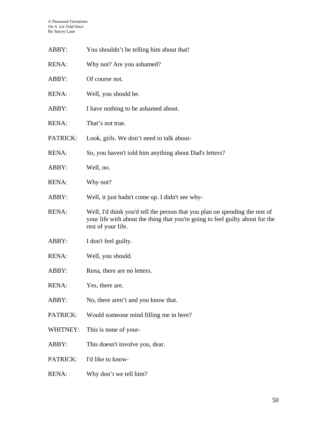| ABBY:    | You shouldn't be telling him about that!                                                                                                                                           |
|----------|------------------------------------------------------------------------------------------------------------------------------------------------------------------------------------|
| RENA:    | Why not? Are you ashamed?                                                                                                                                                          |
| ABBY:    | Of course not.                                                                                                                                                                     |
| RENA:    | Well, you should be.                                                                                                                                                               |
| ABBY:    | I have nothing to be ashamed about.                                                                                                                                                |
| RENA:    | That's not true.                                                                                                                                                                   |
| PATRICK: | Look, girls. We don't need to talk about-                                                                                                                                          |
| RENA:    | So, you haven't told him anything about Dad's letters?                                                                                                                             |
| ABBY:    | Well, no.                                                                                                                                                                          |
| RENA:    | Why not?                                                                                                                                                                           |
| ABBY:    | Well, it just hadn't come up. I didn't see why-                                                                                                                                    |
| RENA:    | Well, I'd think you'd tell the person that you plan on spending the rest of<br>your life with about the thing that you're going to feel guilty about for the<br>rest of your life. |
| ABBY:    | I don't feel guilty.                                                                                                                                                               |
| RENA:    | Well, you should.                                                                                                                                                                  |
| ABBY:    | Rena, there are no letters.                                                                                                                                                        |
| RENA:    | Yes, there are.                                                                                                                                                                    |
| ABBY:    | No, there aren't and you know that.                                                                                                                                                |
| PATRICK: | Would someone mind filling me in here?                                                                                                                                             |
| WHITNEY: | This is none of your-                                                                                                                                                              |
| ABBY:    | This doesn't involve you, dear.                                                                                                                                                    |
| PATRICK: | I'd like to know-                                                                                                                                                                  |
| RENA:    | Why don't we tell him?                                                                                                                                                             |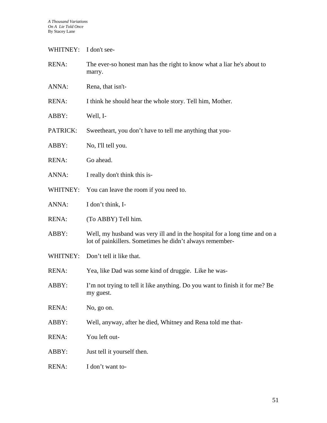WHITNEY: I don't see-

| <b>RENA:</b> | The ever-so honest man has the right to know what a liar he's about to<br>marry.                                                       |
|--------------|----------------------------------------------------------------------------------------------------------------------------------------|
| ANNA:        | Rena, that isn't-                                                                                                                      |
| <b>RENA:</b> | I think he should hear the whole story. Tell him, Mother.                                                                              |
| ABBY:        | Well, I-                                                                                                                               |
| PATRICK:     | Sweetheart, you don't have to tell me anything that you-                                                                               |
| ABBY:        | No, I'll tell you.                                                                                                                     |
| <b>RENA:</b> | Go ahead.                                                                                                                              |
| ANNA:        | I really don't think this is-                                                                                                          |
| WHITNEY:     | You can leave the room if you need to.                                                                                                 |
| ANNA:        | I don't think, I-                                                                                                                      |
| RENA:        | (To ABBY) Tell him.                                                                                                                    |
| ABBY:        | Well, my husband was very ill and in the hospital for a long time and on a<br>lot of painkillers. Sometimes he didn't always remember- |
| WHITNEY:     | Don't tell it like that.                                                                                                               |
| <b>RENA:</b> | Yea, like Dad was some kind of druggie. Like he was-                                                                                   |
| ABBY:        | I'm not trying to tell it like anything. Do you want to finish it for me? Be<br>my guest.                                              |
| <b>RENA:</b> | No, go on.                                                                                                                             |
| ABBY:        | Well, anyway, after he died, Whitney and Rena told me that-                                                                            |
| <b>RENA:</b> | You left out-                                                                                                                          |
| ABBY:        | Just tell it yourself then.                                                                                                            |
| <b>RENA:</b> | I don't want to-                                                                                                                       |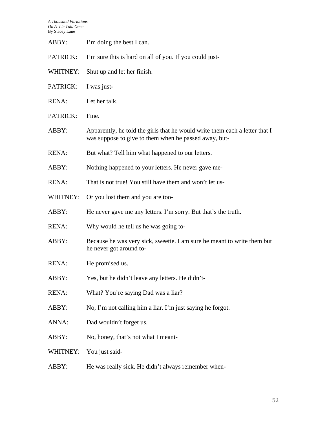| ABBY:        | I'm doing the best I can.                                                                                                            |
|--------------|--------------------------------------------------------------------------------------------------------------------------------------|
| PATRICK:     | I'm sure this is hard on all of you. If you could just-                                                                              |
| WHITNEY:     | Shut up and let her finish.                                                                                                          |
| PATRICK:     | I was just-                                                                                                                          |
| <b>RENA:</b> | Let her talk.                                                                                                                        |
| PATRICK:     | Fine.                                                                                                                                |
| ABBY:        | Apparently, he told the girls that he would write them each a letter that I<br>was suppose to give to them when he passed away, but- |
| <b>RENA:</b> | But what? Tell him what happened to our letters.                                                                                     |
| ABBY:        | Nothing happened to your letters. He never gave me-                                                                                  |
| RENA:        | That is not true! You still have them and won't let us-                                                                              |
| WHITNEY:     | Or you lost them and you are too-                                                                                                    |
| ABBY:        | He never gave me any letters. I'm sorry. But that's the truth.                                                                       |
| <b>RENA:</b> | Why would he tell us he was going to-                                                                                                |
| ABBY:        | Because he was very sick, sweetie. I am sure he meant to write them but<br>he never got around to-                                   |
| <b>RENA:</b> | He promised us.                                                                                                                      |
| ABBY:        | Yes, but he didn't leave any letters. He didn't-                                                                                     |
| <b>RENA:</b> | What? You're saying Dad was a liar?                                                                                                  |
| ABBY:        | No, I'm not calling him a liar. I'm just saying he forgot.                                                                           |
| ANNA:        | Dad wouldn't forget us.                                                                                                              |
| ABBY:        | No, honey, that's not what I meant-                                                                                                  |
| WHITNEY:     | You just said-                                                                                                                       |
| ABBY:        | He was really sick. He didn't always remember when-                                                                                  |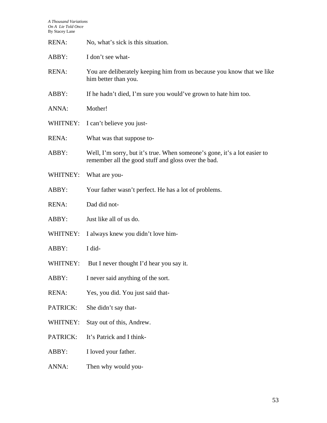| <b>RENA:</b> | No, what's sick is this situation.                                                                                               |
|--------------|----------------------------------------------------------------------------------------------------------------------------------|
| ABBY:        | I don't see what-                                                                                                                |
| <b>RENA:</b> | You are deliberately keeping him from us because you know that we like<br>him better than you.                                   |
| ABBY:        | If he hadn't died, I'm sure you would've grown to hate him too.                                                                  |
| ANNA:        | Mother!                                                                                                                          |
| WHITNEY:     | I can't believe you just-                                                                                                        |
| <b>RENA:</b> | What was that suppose to-                                                                                                        |
| ABBY:        | Well, I'm sorry, but it's true. When someone's gone, it's a lot easier to<br>remember all the good stuff and gloss over the bad. |
| WHITNEY:     | What are you-                                                                                                                    |
| ABBY:        | Your father wasn't perfect. He has a lot of problems.                                                                            |
| <b>RENA:</b> | Dad did not-                                                                                                                     |
| ABBY:        | Just like all of us do.                                                                                                          |
| WHITNEY:     | I always knew you didn't love him-                                                                                               |
| ABBY:        | I did-                                                                                                                           |
| WHITNEY:     | But I never thought I'd hear you say it.                                                                                         |
| ABBY:        | I never said anything of the sort.                                                                                               |
| <b>RENA:</b> | Yes, you did. You just said that-                                                                                                |
| PATRICK:     | She didn't say that-                                                                                                             |
| WHITNEY:     | Stay out of this, Andrew.                                                                                                        |
| PATRICK:     | It's Patrick and I think-                                                                                                        |
| ABBY:        | I loved your father.                                                                                                             |
| ANNA:        | Then why would you-                                                                                                              |
|              |                                                                                                                                  |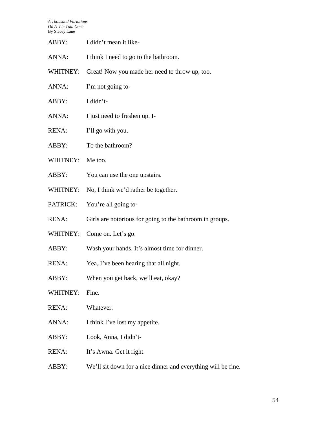| ABBY:        | I didn't mean it like-                                        |
|--------------|---------------------------------------------------------------|
| ANNA:        | I think I need to go to the bathroom.                         |
| WHITNEY:     | Great! Now you made her need to throw up, too.                |
| ANNA:        | I'm not going to-                                             |
| ABBY:        | I didn't-                                                     |
| ANNA:        | I just need to freshen up. I-                                 |
| <b>RENA:</b> | I'll go with you.                                             |
| ABBY:        | To the bathroom?                                              |
| WHITNEY:     | Me too.                                                       |
| ABBY:        | You can use the one upstairs.                                 |
| WHITNEY:     | No, I think we'd rather be together.                          |
| PATRICK:     | You're all going to-                                          |
| RENA:        | Girls are notorious for going to the bathroom in groups.      |
| WHITNEY:     | Come on. Let's go.                                            |
| ABBY:        | Wash your hands. It's almost time for dinner.                 |
| <b>RENA:</b> | Yea, I've been hearing that all night.                        |
| ABBY:        | When you get back, we'll eat, okay?                           |
| WHITNEY:     | Fine.                                                         |
| RENA:        | Whatever.                                                     |
| ANNA:        | I think I've lost my appetite.                                |
| ABBY:        | Look, Anna, I didn't-                                         |
| RENA:        | It's Awna. Get it right.                                      |
| ABBY:        | We'll sit down for a nice dinner and everything will be fine. |
|              |                                                               |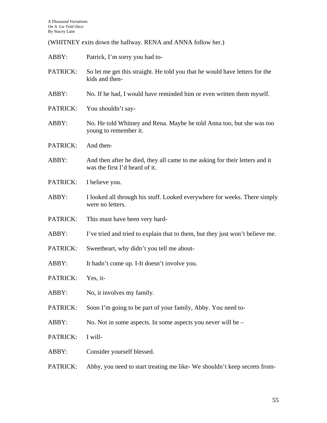(WHITNEY exits down the hallway. RENA and ANNA follow her.)

| ABBY:    | Patrick, I'm sorry you had to-                                                                                |
|----------|---------------------------------------------------------------------------------------------------------------|
| PATRICK: | So let me get this straight. He told you that he would have letters for the<br>kids and then-                 |
| ABBY:    | No. If he had, I would have reminded him or even written them myself.                                         |
| PATRICK: | You shouldn't say-                                                                                            |
| ABBY:    | No. He told Whitney and Rena. Maybe he told Anna too, but she was too<br>young to remember it.                |
| PATRICK: | And then-                                                                                                     |
| ABBY:    | And then after he died, they all came to me asking for their letters and it<br>was the first I'd heard of it. |
| PATRICK: | I believe you.                                                                                                |
| ABBY:    | I looked all through his stuff. Looked everywhere for weeks. There simply<br>were no letters.                 |
| PATRICK: | This must have been very hard-                                                                                |
| ABBY:    | I've tried and tried to explain that to them, but they just won't believe me.                                 |
| PATRICK: | Sweetheart, why didn't you tell me about-                                                                     |
| ABBY:    | It hadn't come up. I-It doesn't involve you.                                                                  |
| PATRICK: | Yes, it-                                                                                                      |
| ABBY:    | No, it involves my family.                                                                                    |
| PATRICK: | Soon I'm going to be part of your family, Abby. You need to-                                                  |
| ABBY:    | No. Not in some aspects. In some aspects you never will be $-$                                                |
| PATRICK: | I will-                                                                                                       |
| ABBY:    | Consider yourself blessed.                                                                                    |
| PATRICK: | Abby, you need to start treating me like-We shouldn't keep secrets from-                                      |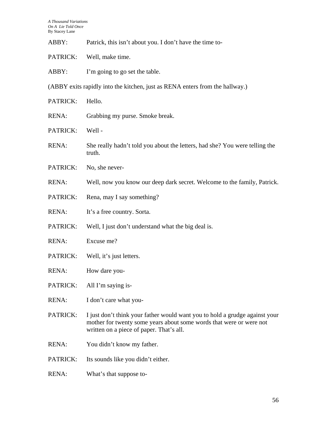| ABBY:        | Patrick, this isn't about you. I don't have the time to-                                                                                                                                       |
|--------------|------------------------------------------------------------------------------------------------------------------------------------------------------------------------------------------------|
| PATRICK:     | Well, make time.                                                                                                                                                                               |
| ABBY:        | I'm going to go set the table.                                                                                                                                                                 |
|              | (ABBY exits rapidly into the kitchen, just as RENA enters from the hallway.)                                                                                                                   |
| PATRICK:     | Hello.                                                                                                                                                                                         |
| <b>RENA:</b> | Grabbing my purse. Smoke break.                                                                                                                                                                |
| PATRICK:     | Well-                                                                                                                                                                                          |
| RENA:        | She really hadn't told you about the letters, had she? You were telling the<br>truth.                                                                                                          |
| PATRICK:     | No, she never-                                                                                                                                                                                 |
| <b>RENA:</b> | Well, now you know our deep dark secret. Welcome to the family, Patrick.                                                                                                                       |
| PATRICK:     | Rena, may I say something?                                                                                                                                                                     |
| <b>RENA:</b> | It's a free country. Sorta.                                                                                                                                                                    |
| PATRICK:     | Well, I just don't understand what the big deal is.                                                                                                                                            |
| <b>RENA:</b> | Excuse me?                                                                                                                                                                                     |
| PATRICK:     | Well, it's just letters.                                                                                                                                                                       |
| <b>RENA:</b> | How dare you-                                                                                                                                                                                  |
| PATRICK:     | All I'm saying is-                                                                                                                                                                             |
| <b>RENA:</b> | I don't care what you-                                                                                                                                                                         |
| PATRICK:     | I just don't think your father would want you to hold a grudge against your<br>mother for twenty some years about some words that were or were not<br>written on a piece of paper. That's all. |
| RENA:        | You didn't know my father.                                                                                                                                                                     |
| PATRICK:     | Its sounds like you didn't either.                                                                                                                                                             |
| <b>RENA:</b> | What's that suppose to-                                                                                                                                                                        |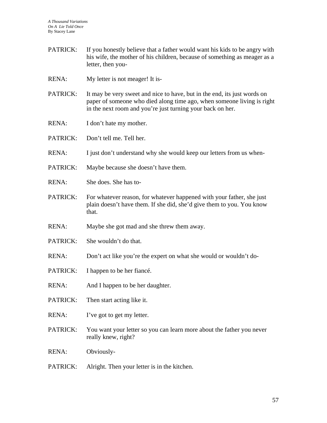- PATRICK: If you honestly believe that a father would want his kids to be angry with his wife, the mother of his children, because of something as meager as a letter, then you-
- RENA: My letter is not meager! It is-
- PATRICK: It may be very sweet and nice to have, but in the end, its just words on paper of someone who died along time ago, when someone living is right in the next room and you're just turning your back on her.
- RENA: I don't hate my mother.
- PATRICK: Don't tell me. Tell her.
- RENA: I just don't understand why she would keep our letters from us when-
- PATRICK: Maybe because she doesn't have them.
- RENA: She does. She has to-
- PATRICK: For whatever reason, for whatever happened with your father, she just plain doesn't have them. If she did, she'd give them to you. You know that.
- RENA: Maybe she got mad and she threw them away.
- PATRICK: She wouldn't do that.
- RENA: Don't act like you're the expert on what she would or wouldn't do-
- PATRICK: I happen to be her fiancé.
- RENA: And I happen to be her daughter.
- PATRICK: Then start acting like it.
- RENA: I've got to get my letter.
- PATRICK: You want your letter so you can learn more about the father you never really knew, right?

RENA: Obviously-

PATRICK: Alright. Then your letter is in the kitchen.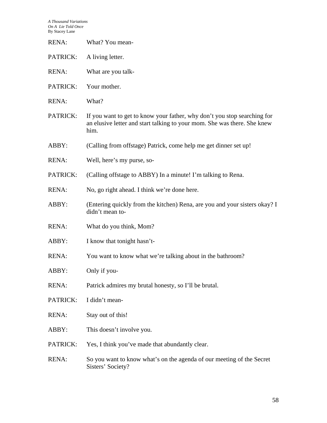| <b>RENA:</b> | What? You mean-                                                                                                                                              |  |
|--------------|--------------------------------------------------------------------------------------------------------------------------------------------------------------|--|
| PATRICK:     | A living letter.                                                                                                                                             |  |
| RENA:        | What are you talk-                                                                                                                                           |  |
| PATRICK:     | Your mother.                                                                                                                                                 |  |
| RENA:        | What?                                                                                                                                                        |  |
| PATRICK:     | If you want to get to know your father, why don't you stop searching for<br>an elusive letter and start talking to your mom. She was there. She knew<br>him. |  |
| ABBY:        | (Calling from offstage) Patrick, come help me get dinner set up!                                                                                             |  |
| RENA:        | Well, here's my purse, so-                                                                                                                                   |  |
| PATRICK:     | (Calling offstage to ABBY) In a minute! I'm talking to Rena.                                                                                                 |  |
| RENA:        | No, go right ahead. I think we're done here.                                                                                                                 |  |
| ABBY:        | (Entering quickly from the kitchen) Rena, are you and your sisters okay? I<br>didn't mean to-                                                                |  |
| RENA:        | What do you think, Mom?                                                                                                                                      |  |
| ABBY:        | I know that tonight hasn't-                                                                                                                                  |  |
| <b>RENA:</b> | You want to know what we're talking about in the bathroom?                                                                                                   |  |
| ABBY:        | Only if you-                                                                                                                                                 |  |
| RENA:        | Patrick admires my brutal honesty, so I'll be brutal.                                                                                                        |  |
| PATRICK:     | I didn't mean-                                                                                                                                               |  |
| RENA:        | Stay out of this!                                                                                                                                            |  |
| ABBY:        | This doesn't involve you.                                                                                                                                    |  |
| PATRICK:     | Yes, I think you've made that abundantly clear.                                                                                                              |  |
| RENA:        | So you want to know what's on the agenda of our meeting of the Secret<br>Sisters' Society?                                                                   |  |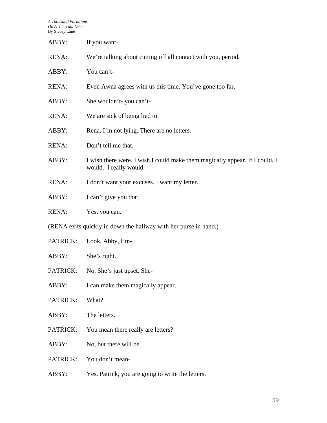| ABBY:                                                            | If you want-                                                                                          |  |
|------------------------------------------------------------------|-------------------------------------------------------------------------------------------------------|--|
| <b>RENA:</b>                                                     | We're talking about cutting off all contact with you, period.                                         |  |
| ABBY:                                                            | You can't-                                                                                            |  |
| <b>RENA:</b>                                                     | Even Awna agrees with us this time. You've gone too far.                                              |  |
| ABBY:                                                            | She wouldn't-you can't-                                                                               |  |
| <b>RENA:</b>                                                     | We are sick of being lied to.                                                                         |  |
| ABBY:                                                            | Rena, I'm not lying. There are no letters.                                                            |  |
| <b>RENA:</b>                                                     | Don't tell me that.                                                                                   |  |
| ABBY:                                                            | I wish there were. I wish I could make them magically appear. If I could, I<br>would. I really would. |  |
| <b>RENA:</b>                                                     | I don't want your excuses. I want my letter.                                                          |  |
| ABBY:                                                            | I can't give you that.                                                                                |  |
| <b>RENA:</b>                                                     | Yes, you can.                                                                                         |  |
| (RENA exits quickly in down the hallway with her purse in hand.) |                                                                                                       |  |
| PATRICK:                                                         | Look, Abby, I'm-                                                                                      |  |
| ABBY:                                                            | She's right.                                                                                          |  |
| PATRICK:                                                         | No. She's just upset. She-                                                                            |  |
| ABBY:                                                            | I can make them magically appear.                                                                     |  |
| PATRICK:                                                         | What?                                                                                                 |  |
| ABBY:                                                            | The letters.                                                                                          |  |
| PATRICK:                                                         | You mean there really are letters?                                                                    |  |
| ABBY:                                                            | No, but there will be.                                                                                |  |
| PATRICK:                                                         | You don't mean-                                                                                       |  |
| ABBY:                                                            | Yes. Patrick, you are going to write the letters.                                                     |  |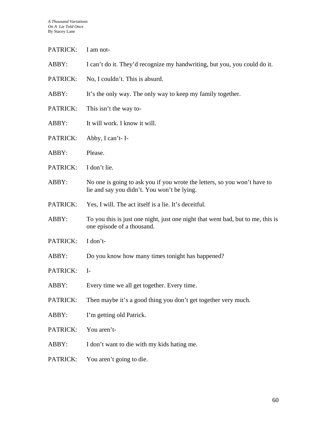PATRICK: I am not-

| ABBY:           | I can't do it. They'd recognize my handwriting, but you, you could do it.                                                |
|-----------------|--------------------------------------------------------------------------------------------------------------------------|
| <b>PATRICK:</b> | No, I couldn't. This is absurd.                                                                                          |
| ABBY:           | It's the only way. The only way to keep my family together.                                                              |
| PATRICK:        | This isn't the way to-                                                                                                   |
| ABBY:           | It will work. I know it will.                                                                                            |
| <b>PATRICK:</b> | Abby, I can't-I-                                                                                                         |
| ABBY:           | Please.                                                                                                                  |
| <b>PATRICK:</b> | I don't lie.                                                                                                             |
| ABBY:           | No one is going to ask you if you wrote the letters, so you won't have to<br>lie and say you didn't. You won't be lying. |
| PATRICK:        | Yes, I will. The act itself is a lie. It's deceitful.                                                                    |
| ABBY:           | To you this is just one night, just one night that went bad, but to me, this is<br>one episode of a thousand.            |
| <b>PATRICK:</b> | I don't-                                                                                                                 |
| ABBY:           | Do you know how many times to night has happened?                                                                        |
| <b>PATRICK:</b> | $I-$                                                                                                                     |
| ABBY:           | Every time we all get together. Every time.                                                                              |
| PATRICK:        | Then maybe it's a good thing you don't get together very much.                                                           |
| ABBY:           | I'm getting old Patrick.                                                                                                 |
| PATRICK:        | You aren't-                                                                                                              |
| ABBY:           | I don't want to die with my kids hating me.                                                                              |
| PATRICK:        | You aren't going to die.                                                                                                 |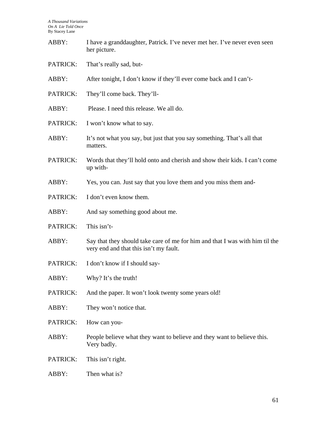| ABBY:    | I have a granddaughter, Patrick. I've never met her. I've never even seen<br>her picture.                              |  |
|----------|------------------------------------------------------------------------------------------------------------------------|--|
| PATRICK: | That's really sad, but-                                                                                                |  |
| ABBY:    | After tonight, I don't know if they'll ever come back and I can't-                                                     |  |
| PATRICK: | They'll come back. They'll-                                                                                            |  |
| ABBY:    | Please. I need this release. We all do.                                                                                |  |
| PATRICK: | I won't know what to say.                                                                                              |  |
| ABBY:    | It's not what you say, but just that you say something. That's all that<br>matters.                                    |  |
| PATRICK: | Words that they'll hold onto and cherish and show their kids. I can't come<br>up with-                                 |  |
| ABBY:    | Yes, you can. Just say that you love them and you miss them and-                                                       |  |
| PATRICK: | I don't even know them.                                                                                                |  |
| ABBY:    | And say something good about me.                                                                                       |  |
| PATRICK: | This isn't-                                                                                                            |  |
| ABBY:    | Say that they should take care of me for him and that I was with him til the<br>very end and that this isn't my fault. |  |
| PATRICK: | I don't know if I should say-                                                                                          |  |
| ABBY:    | Why? It's the truth!                                                                                                   |  |
| PATRICK: | And the paper. It won't look twenty some years old!                                                                    |  |
| ABBY:    | They won't notice that.                                                                                                |  |
| PATRICK: | How can you-                                                                                                           |  |
| ABBY:    | People believe what they want to believe and they want to believe this.<br>Very badly.                                 |  |
| PATRICK: | This isn't right.                                                                                                      |  |
| ABBY:    | Then what is?                                                                                                          |  |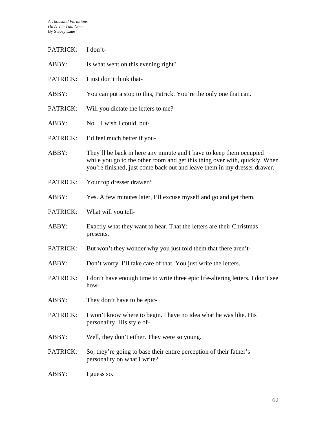| PATRICK: | I don't-                                                                                                                                                                                                                      |  |
|----------|-------------------------------------------------------------------------------------------------------------------------------------------------------------------------------------------------------------------------------|--|
| ABBY:    | Is what went on this evening right?                                                                                                                                                                                           |  |
| PATRICK: | I just don't think that-                                                                                                                                                                                                      |  |
| ABBY:    | You can put a stop to this, Patrick. You're the only one that can.                                                                                                                                                            |  |
| PATRICK: | Will you dictate the letters to me?                                                                                                                                                                                           |  |
| ABBY:    | No. I wish I could, but-                                                                                                                                                                                                      |  |
| PATRICK: | I'd feel much better if you-                                                                                                                                                                                                  |  |
| ABBY:    | They'll be back in here any minute and I have to keep them occupied<br>while you go to the other room and get this thing over with, quickly. When<br>you're finished, just come back out and leave them in my dresser drawer. |  |
| PATRICK: | Your top dresser drawer?                                                                                                                                                                                                      |  |
| ABBY:    | Yes. A few minutes later, I'll excuse myself and go and get them.                                                                                                                                                             |  |
| PATRICK: | What will you tell-                                                                                                                                                                                                           |  |
| ABBY:    | Exactly what they want to hear. That the letters are their Christmas<br>presents.                                                                                                                                             |  |
| PATRICK: | But won't they wonder why you just told them that there aren't-                                                                                                                                                               |  |
| ABBY:    | Don't worry. I'll take care of that. You just write the letters.                                                                                                                                                              |  |
| PATRICK: | I don't have enough time to write three epic life-altering letters. I don't see<br>how-                                                                                                                                       |  |
| ABBY:    | They don't have to be epic-                                                                                                                                                                                                   |  |
| PATRICK: | I won't know where to begin. I have no idea what he was like. His<br>personality. His style of-                                                                                                                               |  |
| ABBY:    | Well, they don't either. They were so young.                                                                                                                                                                                  |  |
| PATRICK: | So, they're going to base their entire perception of their father's<br>personality on what I write?                                                                                                                           |  |
| ABBY:    | I guess so.                                                                                                                                                                                                                   |  |
|          |                                                                                                                                                                                                                               |  |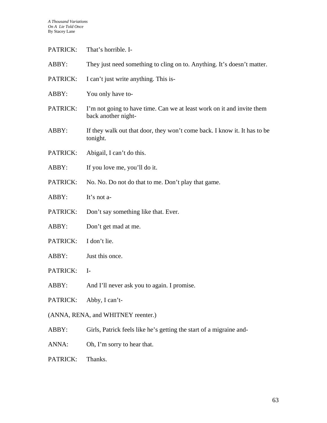| PATRICK:                           | That's horrible. I-                                                                           |
|------------------------------------|-----------------------------------------------------------------------------------------------|
| ABBY:                              | They just need something to cling on to. Anything. It's doesn't matter.                       |
| PATRICK:                           | I can't just write anything. This is-                                                         |
| ABBY:                              | You only have to-                                                                             |
| PATRICK:                           | I'm not going to have time. Can we at least work on it and invite them<br>back another night- |
| ABBY:                              | If they walk out that door, they won't come back. I know it. It has to be<br>tonight.         |
| PATRICK:                           | Abigail, I can't do this.                                                                     |
| ABBY:                              | If you love me, you'll do it.                                                                 |
| PATRICK:                           | No. No. Do not do that to me. Don't play that game.                                           |
| ABBY:                              | It's not a-                                                                                   |
| PATRICK:                           | Don't say something like that. Ever.                                                          |
| ABBY:                              | Don't get mad at me.                                                                          |
| PATRICK:                           | I don't lie.                                                                                  |
| ABBY:                              | Just this once.                                                                               |
| PATRICK:                           | $I-$                                                                                          |
| ABBY:                              | And I'll never ask you to again. I promise.                                                   |
| PATRICK:                           | Abby, I can't-                                                                                |
| (ANNA, RENA, and WHITNEY reenter.) |                                                                                               |
| ABBY:                              | Girls, Patrick feels like he's getting the start of a migraine and-                           |
| ANNA:                              | Oh, I'm sorry to hear that.                                                                   |
| PATRICK:                           | Thanks.                                                                                       |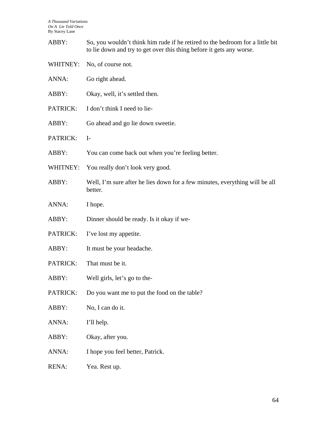| ABBY:        | So, you wouldn't think him rude if he retired to the bedroom for a little bit<br>to lie down and try to get over this thing before it gets any worse. |  |
|--------------|-------------------------------------------------------------------------------------------------------------------------------------------------------|--|
| WHITNEY:     | No, of course not.                                                                                                                                    |  |
| ANNA:        | Go right ahead.                                                                                                                                       |  |
| ABBY:        | Okay, well, it's settled then.                                                                                                                        |  |
| PATRICK:     | I don't think I need to lie-                                                                                                                          |  |
| ABBY:        | Go ahead and go lie down sweetie.                                                                                                                     |  |
| PATRICK:     | $I-$                                                                                                                                                  |  |
| ABBY:        | You can come back out when you're feeling better.                                                                                                     |  |
| WHITNEY:     | You really don't look very good.                                                                                                                      |  |
| ABBY:        | Well, I'm sure after he lies down for a few minutes, everything will be all<br>better.                                                                |  |
| ANNA:        | I hope.                                                                                                                                               |  |
| ABBY:        | Dinner should be ready. Is it okay if we-                                                                                                             |  |
| PATRICK:     | I've lost my appetite.                                                                                                                                |  |
| ABBY:        | It must be your headache.                                                                                                                             |  |
| PATRICK:     | That must be it.                                                                                                                                      |  |
| ABBY:        | Well girls, let's go to the-                                                                                                                          |  |
| PATRICK:     | Do you want me to put the food on the table?                                                                                                          |  |
| ABBY:        | No, I can do it.                                                                                                                                      |  |
| ANNA:        | I'll help.                                                                                                                                            |  |
| ABBY:        | Okay, after you.                                                                                                                                      |  |
| ANNA:        | I hope you feel better, Patrick.                                                                                                                      |  |
| <b>RENA:</b> | Yea. Rest up.                                                                                                                                         |  |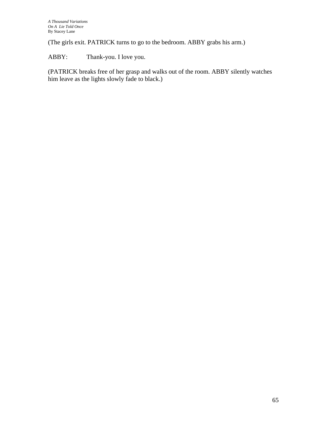(The girls exit. PATRICK turns to go to the bedroom. ABBY grabs his arm.)

ABBY: Thank-you. I love you.

(PATRICK breaks free of her grasp and walks out of the room. ABBY silently watches him leave as the lights slowly fade to black.)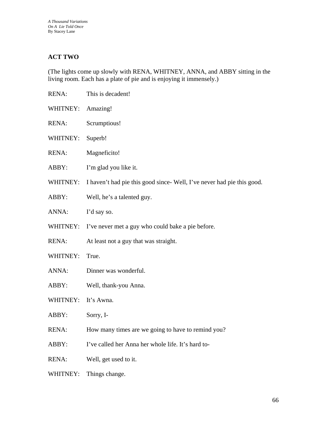## **ACT TWO**

(The lights come up slowly with RENA, WHITNEY, ANNA, and ABBY sitting in the living room. Each has a plate of pie and is enjoying it immensely.)

| <b>RENA:</b> | This is decadent!                                                     |
|--------------|-----------------------------------------------------------------------|
| WHITNEY:     | Amazing!                                                              |
| <b>RENA:</b> | Scrumptious!                                                          |
| WHITNEY:     | Superb!                                                               |
| <b>RENA:</b> | Magneficito!                                                          |
| ABBY:        | I'm glad you like it.                                                 |
| WHITNEY:     | I haven't had pie this good since-Well, I've never had pie this good. |
| ABBY:        | Well, he's a talented guy.                                            |
| ANNA:        | I'd say so.                                                           |
| WHITNEY:     | I've never met a guy who could bake a pie before.                     |
| <b>RENA:</b> | At least not a guy that was straight.                                 |
| WHITNEY:     | True.                                                                 |
| ANNA:        | Dinner was wonderful.                                                 |
| ABBY:        | Well, thank-you Anna.                                                 |
| WHITNEY:     | It's Awna.                                                            |
| ABBY:        | Sorry, I-                                                             |
| RENA:        | How many times are we going to have to remind you?                    |
| ABBY:        | I've called her Anna her whole life. It's hard to-                    |
| <b>RENA:</b> | Well, get used to it.                                                 |
|              |                                                                       |

WHITNEY: Things change.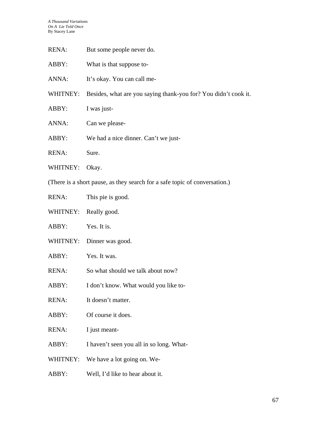| RENA:                                                                      | But some people never do.                                       |  |
|----------------------------------------------------------------------------|-----------------------------------------------------------------|--|
| ABBY:                                                                      | What is that suppose to-                                        |  |
| ANNA:                                                                      | It's okay. You can call me-                                     |  |
| WHITNEY:                                                                   | Besides, what are you saying thank-you for? You didn't cook it. |  |
| ABBY:                                                                      | I was just-                                                     |  |
| ANNA:                                                                      | Can we please-                                                  |  |
| ABBY:                                                                      | We had a nice dinner. Can't we just-                            |  |
| <b>RENA:</b>                                                               | Sure.                                                           |  |
| WHITNEY:                                                                   | Okay.                                                           |  |
| (There is a short pause, as they search for a safe topic of conversation.) |                                                                 |  |
| RENA:                                                                      | This pie is good.                                               |  |
|                                                                            | WHITNEY: Really good.                                           |  |
| ABBY:                                                                      | Yes. It is.                                                     |  |

- WHITNEY: Dinner was good.
- ABBY: Yes. It was.
- RENA: So what should we talk about now?
- ABBY: I don't know. What would you like to-
- RENA: It doesn't matter.
- ABBY: Of course it does.
- RENA: I just meant-
- ABBY: I haven't seen you all in so long. What-
- WHITNEY: We have a lot going on. We-
- ABBY: Well, I'd like to hear about it.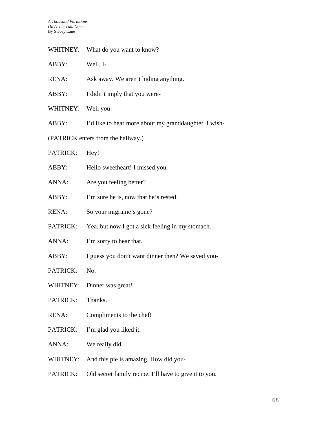| WHITNEY: What do you want to know? |  |
|------------------------------------|--|
|                                    |  |

| ABBY: | Well, I- |
|-------|----------|
|-------|----------|

- RENA: Ask away. We aren't hiding anything.
- ABBY: I didn't imply that you were-
- WHITNEY: Well you-
- ABBY: I'd like to hear more about my granddaughter. I wish-
- (PATRICK enters from the hallway.)
- PATRICK: Hey!
- ABBY: Hello sweetheart! I missed you.
- ANNA: Are you feeling better?
- ABBY: I'm sure he is, now that he's rested.
- RENA: So your migraine's gone?
- PATRICK: Yea, but now I got a sick feeling in my stomach.
- ANNA: I'm sorry to hear that.
- ABBY: I guess you don't want dinner then? We saved you-
- PATRICK: No.
- WHITNEY: Dinner was great!
- PATRICK: Thanks.
- RENA: Compliments to the chef!
- PATRICK: I'm glad you liked it.
- ANNA: We really did.
- WHITNEY: And this pie is amazing. How did you-
- PATRICK: Old secret family recipe. I'll have to give it to you.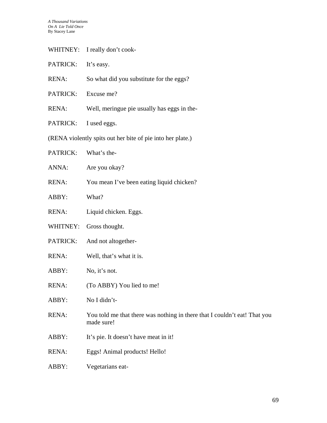| WHITNEY:                                                   | I really don't cook-                                                                    |  |
|------------------------------------------------------------|-----------------------------------------------------------------------------------------|--|
| PATRICK:                                                   | It's easy.                                                                              |  |
| <b>RENA:</b>                                               | So what did you substitute for the eggs?                                                |  |
| PATRICK:                                                   | Excuse me?                                                                              |  |
| <b>RENA:</b>                                               | Well, meringue pie usually has eggs in the-                                             |  |
| PATRICK:                                                   | I used eggs.                                                                            |  |
| (RENA violently spits out her bite of pie into her plate.) |                                                                                         |  |
| PATRICK:                                                   | What's the-                                                                             |  |
| ANNA:                                                      | Are you okay?                                                                           |  |
| <b>RENA:</b>                                               | You mean I've been eating liquid chicken?                                               |  |
| ABBY:                                                      | What?                                                                                   |  |
| <b>RENA:</b>                                               | Liquid chicken. Eggs.                                                                   |  |
| WHITNEY:                                                   | Gross thought.                                                                          |  |
| PATRICK:                                                   | And not altogether-                                                                     |  |
| <b>RENA:</b>                                               | Well, that's what it is.                                                                |  |
| ABBY:                                                      | No, it's not.                                                                           |  |
| RENA:                                                      | (To ABBY) You lied to me!                                                               |  |
| ABBY:                                                      | No I didn't-                                                                            |  |
| <b>RENA:</b>                                               | You told me that there was nothing in there that I couldn't eat! That you<br>made sure! |  |
| ABBY:                                                      | It's pie. It doesn't have meat in it!                                                   |  |
| RENA:                                                      | Eggs! Animal products! Hello!                                                           |  |
| ABBY:                                                      | Vegetarians eat-                                                                        |  |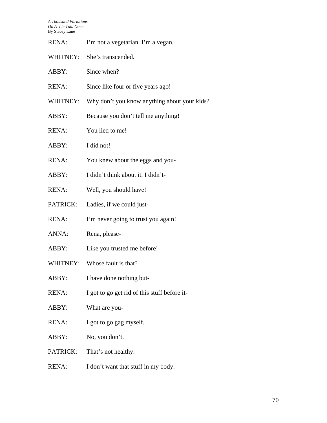| <b>RENA:</b> | I'm not a vegetarian. I'm a vegan. |  |
|--------------|------------------------------------|--|
|--------------|------------------------------------|--|

- WHITNEY: She's transcended.
- ABBY: Since when?
- RENA: Since like four or five years ago!
- WHITNEY: Why don't you know anything about your kids?
- ABBY: Because you don't tell me anything!
- RENA: You lied to me!
- ABBY: I did not!
- RENA: You knew about the eggs and you-
- ABBY: I didn't think about it. I didn't-
- RENA: Well, you should have!
- PATRICK: Ladies, if we could just-
- RENA: I'm never going to trust you again!
- ANNA: Rena, please-
- ABBY: Like you trusted me before!
- WHITNEY: Whose fault is that?
- ABBY: I have done nothing but-
- RENA: I got to go get rid of this stuff before it-
- ABBY: What are you-
- RENA: I got to go gag myself.
- ABBY: No, you don't.
- PATRICK: That's not healthy.
- RENA: I don't want that stuff in my body.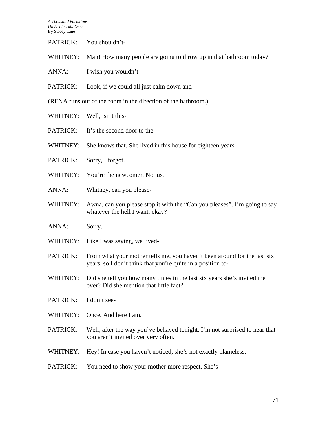| PATRICK:<br>You shouldn't- |  |
|----------------------------|--|
|----------------------------|--|

- WHITNEY: Man! How many people are going to throw up in that bathroom today?
- ANNA: I wish you wouldn't-
- PATRICK: Look, if we could all just calm down and-

(RENA runs out of the room in the direction of the bathroom.)

- WHITNEY: Well, isn't this-
- PATRICK: It's the second door to the-
- WHITNEY: She knows that. She lived in this house for eighteen years.
- PATRICK: Sorry, I forgot.
- WHITNEY: You're the newcomer. Not us.
- ANNA: Whitney, can you please-
- WHITNEY: Awna, can you please stop it with the "Can you pleases". I'm going to say whatever the hell I want, okay?
- ANNA: Sorry.
- WHITNEY: Like I was saying, we lived-
- PATRICK: From what your mother tells me, you haven't been around for the last six years, so I don't think that you're quite in a position to-
- WHITNEY: Did she tell you how many times in the last six years she's invited me over? Did she mention that little fact?
- PATRICK: I don't see-
- WHITNEY: Once. And here I am.
- PATRICK: Well, after the way you've behaved tonight, I'm not surprised to hear that you aren't invited over very often.
- WHITNEY: Hey! In case you haven't noticed, she's not exactly blameless.
- PATRICK: You need to show your mother more respect. She's-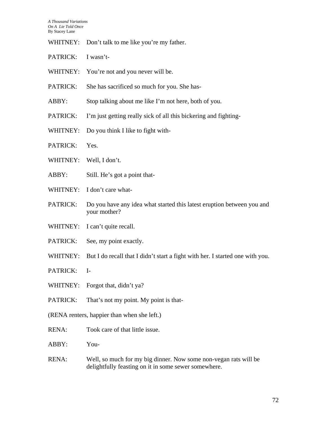- WHITNEY: Don't talk to me like you're my father.
- PATRICK: I wasn't-
- WHITNEY: You're not and you never will be.
- PATRICK: She has sacrificed so much for you. She has-
- ABBY: Stop talking about me like I'm not here, both of you.
- PATRICK: I'm just getting really sick of all this bickering and fighting-
- WHITNEY: Do you think I like to fight with-
- PATRICK: Yes.
- WHITNEY: Well, I don't.
- ABBY: Still. He's got a point that-
- WHITNEY: I don't care what-
- PATRICK: Do you have any idea what started this latest eruption between you and your mother?
- WHITNEY: I can't quite recall.
- PATRICK: See, my point exactly.
- WHITNEY: But I do recall that I didn't start a fight with her. I started one with you.
- PATRICK: I-
- WHITNEY: Forgot that, didn't ya?
- PATRICK: That's not my point. My point is that-
- (RENA renters, happier than when she left.)
- RENA: Took care of that little issue.
- ABBY: You-
- RENA: Well, so much for my big dinner. Now some non-vegan rats will be delightfully feasting on it in some sewer somewhere.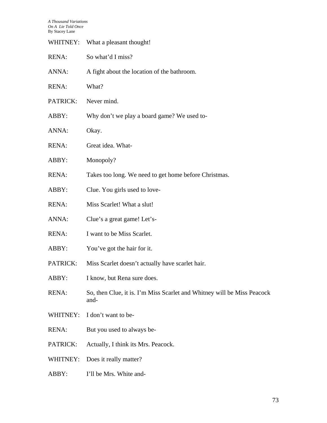| WHITNEY:     | What a pleasant thought!                                                        |
|--------------|---------------------------------------------------------------------------------|
| RENA:        | So what'd I miss?                                                               |
| ANNA:        | A fight about the location of the bathroom.                                     |
| <b>RENA:</b> | What?                                                                           |
| PATRICK:     | Never mind.                                                                     |
| ABBY:        | Why don't we play a board game? We used to-                                     |
| ANNA:        | Okay.                                                                           |
| <b>RENA:</b> | Great idea. What-                                                               |
| ABBY:        | Monopoly?                                                                       |
| <b>RENA:</b> | Takes too long. We need to get home before Christmas.                           |
| ABBY:        | Clue. You girls used to love-                                                   |
| RENA:        | Miss Scarlet! What a slut!                                                      |
| ANNA:        | Clue's a great game! Let's-                                                     |
| <b>RENA:</b> | I want to be Miss Scarlet.                                                      |
| ABBY:        | You've got the hair for it.                                                     |
| PATRICK:     | Miss Scarlet doesn't actually have scarlet hair.                                |
| ABBY:        | I know, but Rena sure does.                                                     |
| <b>RENA:</b> | So, then Clue, it is. I'm Miss Scarlet and Whitney will be Miss Peacock<br>and- |
| WHITNEY:     | I don't want to be-                                                             |
| <b>RENA:</b> | But you used to always be-                                                      |
| PATRICK:     | Actually, I think its Mrs. Peacock.                                             |
| WHITNEY:     | Does it really matter?                                                          |
| ABBY:        | I'll be Mrs. White and-                                                         |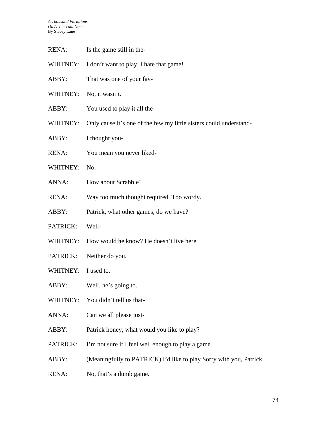- RENA: Is the game still in the-
- WHITNEY: I don't want to play. I hate that game!
- ABBY: That was one of your fav-
- WHITNEY: No, it wasn't.
- ABBY: You used to play it all the-
- WHITNEY: Only cause it's one of the few my little sisters could understand-
- ABBY: I thought you-
- RENA: You mean you never liked-
- WHITNEY: No.
- ANNA: How about Scrabble?
- RENA: Way too much thought required. Too wordy.
- ABBY: Patrick, what other games, do we have?
- PATRICK: Well-
- WHITNEY: How would he know? He doesn't live here.
- PATRICK: Neither do you.
- WHITNEY: I used to.
- ABBY: Well, he's going to.
- WHITNEY: You didn't tell us that-
- ANNA: Can we all please just-
- ABBY: Patrick honey, what would you like to play?
- PATRICK: I'm not sure if I feel well enough to play a game.
- ABBY: (Meaningfully to PATRICK) I'd like to play Sorry with you, Patrick.
- RENA: No, that's a dumb game.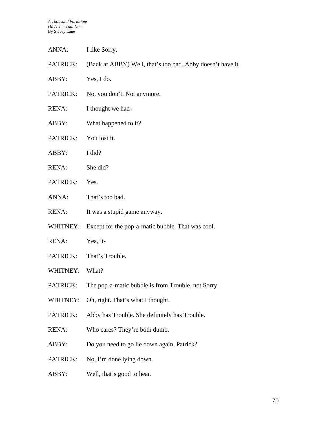| ANNA:        | I like Sorry.                                              |
|--------------|------------------------------------------------------------|
| PATRICK:     | (Back at ABBY) Well, that's too bad. Abby doesn't have it. |
| ABBY:        | Yes, I do.                                                 |
| PATRICK:     | No, you don't. Not anymore.                                |
| RENA:        | I thought we had-                                          |
| ABBY:        | What happened to it?                                       |
| PATRICK:     | You lost it.                                               |
| ABBY:        | I did?                                                     |
| RENA:        | She did?                                                   |
| PATRICK:     | Yes.                                                       |
| ANNA:        | That's too bad.                                            |
| <b>RENA:</b> | It was a stupid game anyway.                               |
| WHITNEY:     | Except for the pop-a-matic bubble. That was cool.          |
| RENA:        | Yea, it-                                                   |
| PATRICK:     | That's Trouble.                                            |
| WHITNEY:     | What?                                                      |
| PATRICK:     | The pop-a-matic bubble is from Trouble, not Sorry.         |
| WHITNEY:     | Oh, right. That's what I thought.                          |
| PATRICK:     | Abby has Trouble. She definitely has Trouble.              |
| <b>RENA:</b> | Who cares? They're both dumb.                              |
| ABBY:        | Do you need to go lie down again, Patrick?                 |
| PATRICK:     | No, I'm done lying down.                                   |
| ABBY:        | Well, that's good to hear.                                 |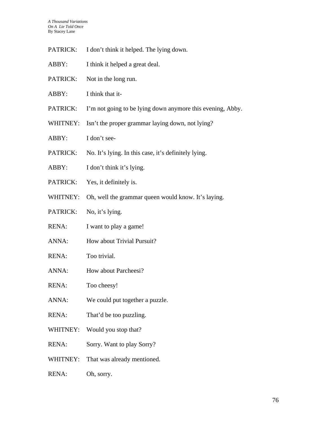- PATRICK: I don't think it helped. The lying down.
- ABBY: I think it helped a great deal.
- PATRICK: Not in the long run.
- ABBY: I think that it-
- PATRICK: I'm not going to be lying down anymore this evening, Abby.
- WHITNEY: Isn't the proper grammar laying down, not lying?
- ABBY: I don't see-
- PATRICK: No. It's lying. In this case, it's definitely lying.
- ABBY: I don't think it's lying.
- PATRICK: Yes, it definitely is.
- WHITNEY: Oh, well the grammar queen would know. It's laying.
- PATRICK: No, it's lying.
- RENA: I want to play a game!
- ANNA: How about Trivial Pursuit?
- RENA: Too trivial.
- ANNA: How about Parcheesi?
- RENA: Too cheesy!
- ANNA: We could put together a puzzle.
- RENA: That'd be too puzzling.
- WHITNEY: Would you stop that?
- RENA: Sorry. Want to play Sorry?
- WHITNEY: That was already mentioned.
- RENA: Oh, sorry.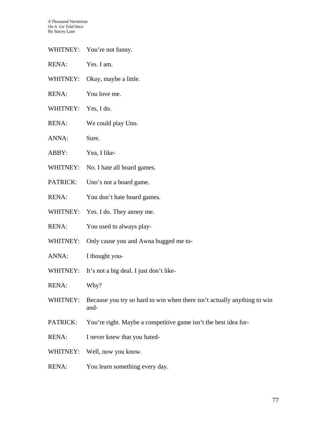- WHITNEY: You're not funny.
- RENA: Yes. I am.
- WHITNEY: Okay, maybe a little.
- RENA: You love me.
- WHITNEY: Yes, I do.
- RENA: We could play Uno.
- ANNA: Sure.
- ABBY: Yea, I like-
- WHITNEY: No. I hate all board games.
- PATRICK: Uno's not a board game.
- RENA: You don't hate board games.
- WHITNEY: Yes. I do. They annoy me.
- RENA: You used to always play-
- WHITNEY: Only cause you and Awna bugged me to-
- ANNA: I thought you-
- WHITNEY: It's not a big deal. I just don't like-
- RENA: Why?
- WHITNEY: Because you try so hard to win when there isn't actually anything to win and-
- PATRICK: You're right. Maybe a competitive game isn't the best idea for-
- RENA: I never knew that you hated-
- WHITNEY: Well, now you know.
- RENA: You learn something every day.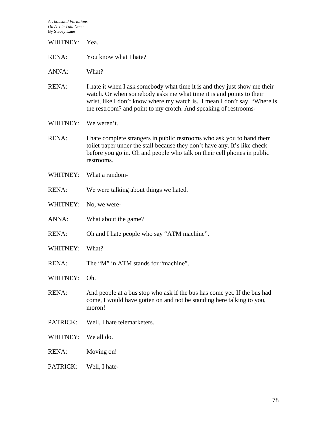WHITNEY: Yea.

RENA: You know what I hate?

ANNA: What?

- RENA: I hate it when I ask somebody what time it is and they just show me their watch. Or when somebody asks me what time it is and points to their wrist, like I don't know where my watch is. I mean I don't say, "Where is the restroom? and point to my crotch. And speaking of restrooms-
- WHITNEY: We weren't.
- RENA: I hate complete strangers in public restrooms who ask you to hand them toilet paper under the stall because they don't have any. It's like check before you go in. Oh and people who talk on their cell phones in public restrooms.
- WHITNEY: What a random-
- RENA: We were talking about things we hated.
- WHITNEY: No, we were-
- ANNA: What about the game?
- RENA: Oh and I hate people who say "ATM machine".
- WHITNEY: What?
- RENA: The "M" in ATM stands for "machine".

WHITNEY: Oh.

- RENA: And people at a bus stop who ask if the bus has come yet. If the bus had come, I would have gotten on and not be standing here talking to you, moron!
- PATRICK: Well, I hate telemarketers.
- WHITNEY: We all do.
- RENA: Moving on!
- PATRICK: Well, I hate-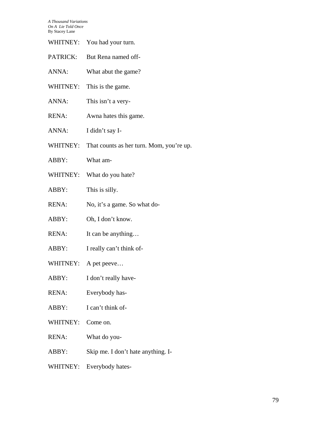*A Thousand Variations On A Lie Told Once*   $\overline{B}$ 

| By Stacey Lane |                                          |
|----------------|------------------------------------------|
|                | WHITNEY: You had your turn.              |
| PATRICK:       | But Rena named off-                      |
| ANNA:          | What abut the game?                      |
| WHITNEY:       | This is the game.                        |
| ANNA:          | This isn't a very-                       |
| <b>RENA:</b>   | Awna hates this game.                    |
| ANNA:          | I didn't say I-                          |
| WHITNEY:       | That counts as her turn. Mom, you're up. |
| ABBY:          | What am-                                 |
| WHITNEY:       | What do you hate?                        |
| ABBY:          | This is silly.                           |
| <b>RENA:</b>   | No, it's a game. So what do-             |
| ABBY:          | Oh, I don't know.                        |
| RENA:          | It can be anything                       |
| ABBY:          | I really can't think of-                 |
| WHITNEY:       | A pet peeve                              |
| ABBY:          | I don't really have-                     |
| <b>RENA:</b>   | Everybody has-                           |

- ABBY: I can't think of-
- WHITNEY: Come on.
- RENA: What do you-
- ABBY: Skip me. I don't hate anything. I-
- WHITNEY: Everybody hates-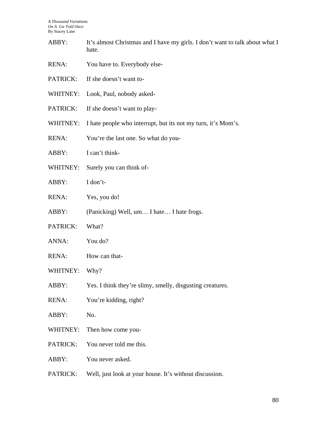- ABBY: It's almost Christmas and I have my girls. I don't want to talk about what I hate.
- RENA: You have to. Everybody else-
- PATRICK: If she doesn't want to-
- WHITNEY: Look, Paul, nobody asked-
- PATRICK: If she doesn't want to play-
- WHITNEY: I hate people who interrupt, but its not my turn, it's Mom's.
- RENA: You're the last one. So what do you-
- ABBY: I can't think-
- WHITNEY: Surely you can think of-
- ABBY: I don't-
- RENA: Yes, you do!
- ABBY: (Panicking) Well, um... I hate... I hate frogs.
- PATRICK: What?
- ANNA: You do?
- RENA: How can that-
- WHITNEY: Why?
- ABBY: Yes. I think they're slimy, smelly, disgusting creatures.
- RENA: You're kidding, right?
- ABBY: No.
- WHITNEY: Then how come you-
- PATRICK: You never told me this.
- ABBY: You never asked.
- PATRICK: Well, just look at your house. It's without discussion.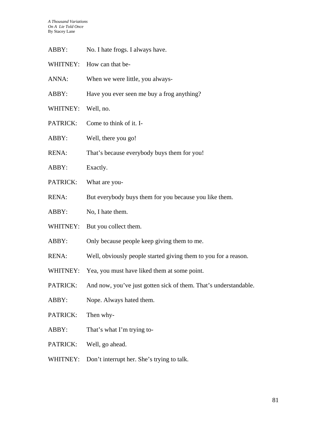| ABBY:        | No. I hate frogs. I always have.                                          |
|--------------|---------------------------------------------------------------------------|
| WHITNEY:     | How can that be-                                                          |
| ANNA:        | When we were little, you always-                                          |
| ABBY:        | Have you ever seen me buy a frog anything?                                |
| WHITNEY:     | Well, no.                                                                 |
| PATRICK:     | Come to think of it. I-                                                   |
| ABBY:        | Well, there you go!                                                       |
| <b>RENA:</b> | That's because everybody buys them for you!                               |
| ABBY:        | Exactly.                                                                  |
| PATRICK:     | What are you-                                                             |
| <b>RENA:</b> | But everybody buys them for you because you like them.                    |
| ABBY:        | No, I hate them.                                                          |
| WHITNEY:     | But you collect them.                                                     |
| ABBY:        | Only because people keep giving them to me.                               |
| <b>RENA:</b> | Well, obviously people started giving them to you for a reason.           |
| WHITNEY:     | Yea, you must have liked them at some point.                              |
|              | PATRICK: And now, you've just gotten sick of them. That's understandable. |
| ABBY:        | Nope. Always hated them.                                                  |
| PATRICK:     | Then why-                                                                 |
| ABBY:        | That's what I'm trying to-                                                |
| PATRICK:     | Well, go ahead.                                                           |
| WHITNEY:     | Don't interrupt her. She's trying to talk.                                |
|              |                                                                           |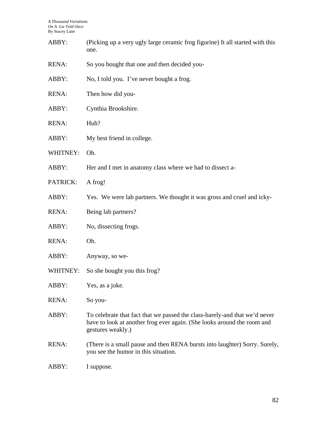| ABBY:        | (Picking up a very ugly large ceramic frog figurine) It all started with this<br>one.                                                                                      |
|--------------|----------------------------------------------------------------------------------------------------------------------------------------------------------------------------|
| <b>RENA:</b> | So you bought that one and then decided you-                                                                                                                               |
| ABBY:        | No, I told you. I've never bought a frog.                                                                                                                                  |
| <b>RENA:</b> | Then how did you-                                                                                                                                                          |
| ABBY:        | Cynthia Brookshire.                                                                                                                                                        |
| RENA:        | Huh?                                                                                                                                                                       |
| ABBY:        | My best friend in college.                                                                                                                                                 |
| WHITNEY:     | Oh.                                                                                                                                                                        |
| ABBY:        | Her and I met in anatomy class where we had to dissect a-                                                                                                                  |
| PATRICK:     | A frog!                                                                                                                                                                    |
| ABBY:        | Yes. We were lab partners. We thought it was gross and cruel and icky-                                                                                                     |
| RENA:        | Being lab partners?                                                                                                                                                        |
| ABBY:        | No, dissecting frogs.                                                                                                                                                      |
| <b>RENA:</b> | Oh.                                                                                                                                                                        |
| ABBY:        | Anyway, so we-                                                                                                                                                             |
| WHITNEY:     | So she bought you this frog?                                                                                                                                               |
| ABBY:        | Yes, as a joke.                                                                                                                                                            |
| RENA:        | So you-                                                                                                                                                                    |
| ABBY:        | To celebrate that fact that we passed the class-barely-and that we'd never<br>have to look at another frog ever again. (She looks around the room and<br>gestures weakly.) |
| RENA:        | (There is a small pause and then RENA bursts into laughter) Sorry. Surely,<br>you see the humor in this situation.                                                         |
| ABBY:        | I suppose.                                                                                                                                                                 |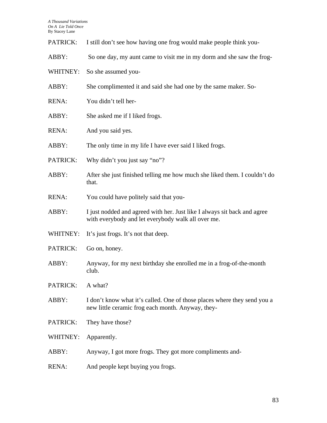| PATRICK:     | I still don't see how having one frog would make people think you-                                                             |
|--------------|--------------------------------------------------------------------------------------------------------------------------------|
| ABBY:        | So one day, my aunt came to visit me in my dorm and she saw the frog-                                                          |
| WHITNEY:     | So she assumed you-                                                                                                            |
| ABBY:        | She complimented it and said she had one by the same maker. So-                                                                |
| <b>RENA:</b> | You didn't tell her-                                                                                                           |
| ABBY:        | She asked me if I liked frogs.                                                                                                 |
| <b>RENA:</b> | And you said yes.                                                                                                              |
| ABBY:        | The only time in my life I have ever said I liked frogs.                                                                       |
| PATRICK:     | Why didn't you just say "no"?                                                                                                  |
| ABBY:        | After she just finished telling me how much she liked them. I couldn't do<br>that.                                             |
| <b>RENA:</b> | You could have politely said that you-                                                                                         |
| ABBY:        | I just nodded and agreed with her. Just like I always sit back and agree<br>with everybody and let everybody walk all over me. |
| WHITNEY:     | It's just frogs. It's not that deep.                                                                                           |
| PATRICK:     | Go on, honey.                                                                                                                  |
| ABBY:        | Anyway, for my next birthday she enrolled me in a frog-of-the-month<br>club.                                                   |
| PATRICK:     | A what?                                                                                                                        |
| ABBY:        | I don't know what it's called. One of those places where they send you a<br>new little ceramic frog each month. Anyway, they-  |
| PATRICK:     | They have those?                                                                                                               |
| WHITNEY:     | Apparently.                                                                                                                    |
| ABBY:        | Anyway, I got more frogs. They got more compliments and-                                                                       |
| <b>RENA:</b> | And people kept buying you frogs.                                                                                              |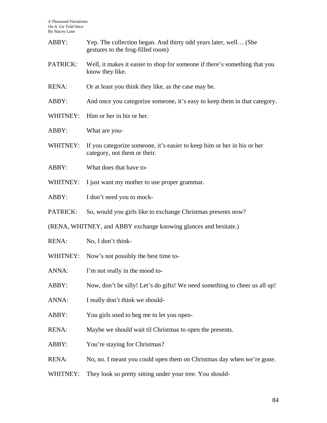| ABBY:        | Yep. The collection began. And thirty odd years later, well (She<br>gestures to the frog-filled room)   |
|--------------|---------------------------------------------------------------------------------------------------------|
| PATRICK:     | Well, it makes it easier to shop for someone if there's something that you<br>know they like.           |
| <b>RENA:</b> | Or at least you think they like, as the case may be.                                                    |
| ABBY:        | And once you categorize someone, it's easy to keep them in that category.                               |
| WHITNEY:     | Him or her in his or her.                                                                               |
| ABBY:        | What are you-                                                                                           |
| WHITNEY:     | If you categorize someone, it's easier to keep him or her in his or her<br>category, not them or their. |
| ABBY:        | What does that have to-                                                                                 |
| WHITNEY:     | I just want my mother to use proper grammar.                                                            |
| ABBY:        | I don't need you to mock-                                                                               |
| PATRICK:     | So, would you girls like to exchange Christmas presents now?                                            |
|              | (RENA, WHITNEY, and ABBY exchange knowing glances and hesitate.)                                        |
| <b>RENA:</b> | No, I don't think-                                                                                      |
| WHITNEY:     | Now's not possibly the best time to-                                                                    |
| ANNA:        | I'm not really in the mood to-                                                                          |
| ABBY:        | Now, don't be silly! Let's do gifts! We need something to cheer us all up!                              |
| ANNA:        | I really don't think we should-                                                                         |
| ABBY:        | You girls used to beg me to let you open-                                                               |
| <b>RENA:</b> | Maybe we should wait til Christmas to open the presents.                                                |
| ABBY:        | You're staying for Christmas?                                                                           |
| <b>RENA:</b> | No, no. I meant you could open them on Christmas day when we're gone.                                   |
| WHITNEY:     | They look so pretty sitting under your tree. You should-                                                |
|              |                                                                                                         |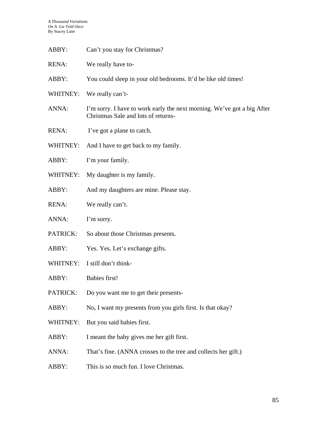| ABBY:           | Can't you stay for Christmas?                                                                                  |
|-----------------|----------------------------------------------------------------------------------------------------------------|
| <b>RENA:</b>    | We really have to-                                                                                             |
| ABBY:           | You could sleep in your old bedrooms. It'd be like old times!                                                  |
| WHITNEY:        | We really can't-                                                                                               |
| ANNA:           | I'm sorry. I have to work early the next morning. We've got a big After<br>Christmas Sale and lots of returns- |
| <b>RENA:</b>    | I've got a plane to catch.                                                                                     |
| WHITNEY:        | And I have to get back to my family.                                                                           |
| ABBY:           | I'm your family.                                                                                               |
| WHITNEY:        | My daughter is my family.                                                                                      |
| ABBY:           | And my daughters are mine. Please stay.                                                                        |
| <b>RENA:</b>    | We really can't.                                                                                               |
| ANNA:           | I'm sorry.                                                                                                     |
| <b>PATRICK:</b> | So about those Christmas presents.                                                                             |
| ABBY:           | Yes. Yes. Let's exchange gifts.                                                                                |
| WHITNEY:        | I still don't think-                                                                                           |
| ABBY:           | <b>Babies first!</b>                                                                                           |
| PATRICK:        | Do you want me to get their presents-                                                                          |
| ABBY:           | No, I want my presents from you girls first. Is that okay?                                                     |
| WHITNEY:        | But you said babies first.                                                                                     |
| ABBY:           | I meant the baby gives me her gift first.                                                                      |
| ANNA:           | That's fine. (ANNA crosses to the tree and collects her gift.)                                                 |
| ABBY:           | This is so much fun. I love Christmas.                                                                         |
|                 |                                                                                                                |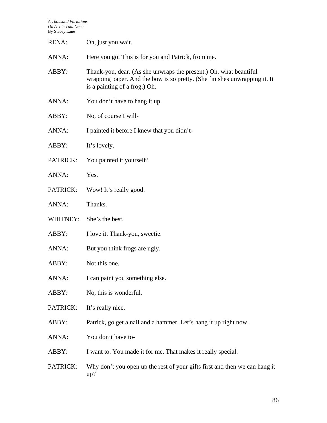| <b>RENA:</b> | Oh, just you wait.                                                                                                                                                              |
|--------------|---------------------------------------------------------------------------------------------------------------------------------------------------------------------------------|
| ANNA:        | Here you go. This is for you and Patrick, from me.                                                                                                                              |
| ABBY:        | Thank-you, dear. (As she unwraps the present.) Oh, what beautiful<br>wrapping paper. And the bow is so pretty. (She finishes unwrapping it. It<br>is a painting of a frog.) Oh. |
| ANNA:        | You don't have to hang it up.                                                                                                                                                   |
| ABBY:        | No, of course I will-                                                                                                                                                           |
| ANNA:        | I painted it before I knew that you didn't-                                                                                                                                     |
| ABBY:        | It's lovely.                                                                                                                                                                    |
| PATRICK:     | You painted it yourself?                                                                                                                                                        |
| ANNA:        | Yes.                                                                                                                                                                            |
| PATRICK:     | Wow! It's really good.                                                                                                                                                          |
| ANNA:        | Thanks.                                                                                                                                                                         |
| WHITNEY:     | She's the best.                                                                                                                                                                 |
| ABBY:        | I love it. Thank-you, sweetie.                                                                                                                                                  |
| ANNA:        | But you think frogs are ugly.                                                                                                                                                   |
| ABBY:        | Not this one.                                                                                                                                                                   |
| ANNA:        | I can paint you something else.                                                                                                                                                 |
| ABBY:        | No, this is wonderful.                                                                                                                                                          |
| PATRICK:     | It's really nice.                                                                                                                                                               |
| ABBY:        | Patrick, go get a nail and a hammer. Let's hang it up right now.                                                                                                                |
| ANNA:        | You don't have to-                                                                                                                                                              |
| ABBY:        | I want to. You made it for me. That makes it really special.                                                                                                                    |
| PATRICK:     | Why don't you open up the rest of your gifts first and then we can hang it<br>up?                                                                                               |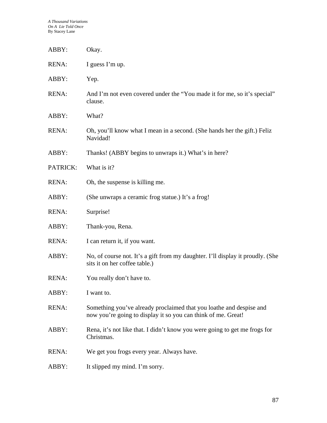| ABBY:        | Okay.                                                                                                                                |
|--------------|--------------------------------------------------------------------------------------------------------------------------------------|
| <b>RENA:</b> | I guess I'm up.                                                                                                                      |
| ABBY:        | Yep.                                                                                                                                 |
| <b>RENA:</b> | And I'm not even covered under the "You made it for me, so it's special"<br>clause.                                                  |
| ABBY:        | What?                                                                                                                                |
| <b>RENA:</b> | Oh, you'll know what I mean in a second. (She hands her the gift.) Feliz<br>Navidad!                                                 |
| ABBY:        | Thanks! (ABBY begins to unwraps it.) What's in here?                                                                                 |
| PATRICK:     | What is it?                                                                                                                          |
| <b>RENA:</b> | Oh, the suspense is killing me.                                                                                                      |
| ABBY:        | (She unwraps a ceramic frog statue.) It's a frog!                                                                                    |
| <b>RENA:</b> | Surprise!                                                                                                                            |
| ABBY:        | Thank-you, Rena.                                                                                                                     |
| <b>RENA:</b> | I can return it, if you want.                                                                                                        |
| ABBY:        | No, of course not. It's a gift from my daughter. I'll display it proudly. (She<br>sits it on her coffee table.)                      |
| <b>RENA:</b> | You really don't have to.                                                                                                            |
| ABBY:        | I want to.                                                                                                                           |
| <b>RENA:</b> | Something you've already proclaimed that you loathe and despise and<br>now you're going to display it so you can think of me. Great! |
| ABBY:        | Rena, it's not like that. I didn't know you were going to get me frogs for<br>Christmas.                                             |
| <b>RENA:</b> | We get you frogs every year. Always have.                                                                                            |
| ABBY:        | It slipped my mind. I'm sorry.                                                                                                       |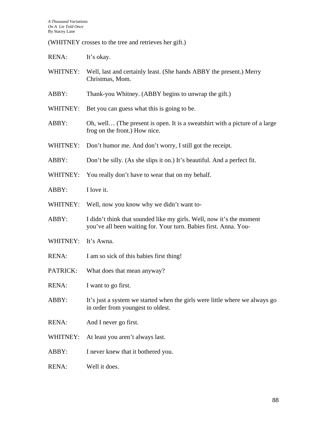(WHITNEY crosses to the tree and retrieves her gift.)

RENA: It's okay.

- WHITNEY: Well, last and certainly least. (She hands ABBY the present.) Merry Christmas, Mom.
- ABBY: Thank-you Whitney. (ABBY begins to unwrap the gift.)
- WHITNEY: Bet you can guess what this is going to be.
- ABBY: Oh, well... (The present is open. It is a sweatshirt with a picture of a large frog on the front.) How nice.
- WHITNEY: Don't humor me. And don't worry, I still got the receipt.
- ABBY: Don't be silly. (As she slips it on.) It's beautiful. And a perfect fit.
- WHITNEY: You really don't have to wear that on my behalf.
- ABBY: I love it.
- WHITNEY: Well, now you know why we didn't want to-
- ABBY: I didn't think that sounded like my girls. Well, now it's the moment you've all been waiting for. Your turn. Babies first. Anna. You-
- WHITNEY: It's Awna.
- RENA: I am so sick of this babies first thing!
- PATRICK: What does that mean anyway?
- RENA: I want to go first.
- ABBY: It's just a system we started when the girls were little where we always go in order from youngest to oldest.
- RENA: And I never go first.
- WHITNEY: At least you aren't always last.
- ABBY: I never knew that it bothered you.
- RENA: Well it does.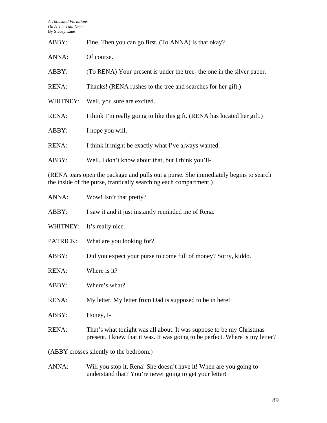| ABBY:        | Fine. Then you can go first. (To ANNA) Is that okay?                     |
|--------------|--------------------------------------------------------------------------|
| ANNA:        | Of course.                                                               |
| ABBY:        | (To RENA) Your present is under the tree- the one in the silver paper.   |
| <b>RENA:</b> | Thanks! (RENA rushes to the tree and searches for her gift.)             |
| WHITNEY:     | Well, you sure are excited.                                              |
| <b>RENA:</b> | I think I'm really going to like this gift. (RENA has located her gift.) |
| ABBY:        | I hope you will.                                                         |
| <b>RENA:</b> | I think it might be exactly what I've always wanted.                     |
| ABBY:        | Well, I don't know about that, but I think you'll-                       |

(RENA tears open the package and pulls out a purse. She immediately begins to search the inside of the purse, frantically searching each compartment.)

| ANNA:                                   | Wow! Isn't that pretty?                                                                                                                              |
|-----------------------------------------|------------------------------------------------------------------------------------------------------------------------------------------------------|
| ABBY:                                   | I saw it and it just instantly reminded me of Rena.                                                                                                  |
| WHITNEY:                                | It's really nice.                                                                                                                                    |
| PATRICK:                                | What are you looking for?                                                                                                                            |
| ABBY:                                   | Did you expect your purse to come full of money? Sorry, kiddo.                                                                                       |
| <b>RENA:</b>                            | Where is it?                                                                                                                                         |
| ABBY:                                   | Where's what?                                                                                                                                        |
| <b>RENA:</b>                            | My letter. My letter from Dad is supposed to be in here!                                                                                             |
| ABBY:                                   | Honey, I-                                                                                                                                            |
| <b>RENA:</b>                            | That's what tonight was all about. It was suppose to be my Christmas<br>present. I knew that it was. It was going to be perfect. Where is my letter? |
| (ABBY crosses silently to the bedroom.) |                                                                                                                                                      |

ANNA: Will you stop it, Rena! She doesn't have it! When are you going to understand that? You're never going to get your letter!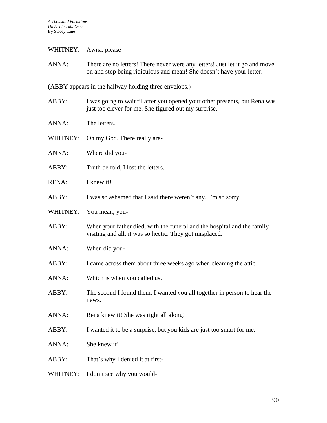## WHITNEY: Awna, please-

ANNA: There are no letters! There never were any letters! Just let it go and move on and stop being ridiculous and mean! She doesn't have your letter.

(ABBY appears in the hallway holding three envelops.)

- ABBY: I was going to wait til after you opened your other presents, but Rena was just too clever for me. She figured out my surprise.
- ANNA: The letters.
- WHITNEY: Oh my God. There really are-
- ANNA: Where did you-
- ABBY: Truth be told, I lost the letters.
- RENA: I knew it!
- ABBY: I was so ashamed that I said there weren't any. I'm so sorry.
- WHITNEY: You mean, you-
- ABBY: When your father died, with the funeral and the hospital and the family visiting and all, it was so hectic. They got misplaced.
- ANNA: When did you-
- ABBY: I came across them about three weeks ago when cleaning the attic.
- ANNA: Which is when you called us.
- ABBY: The second I found them. I wanted you all together in person to hear the news.
- ANNA: Rena knew it! She was right all along!
- ABBY: I wanted it to be a surprise, but you kids are just too smart for me.
- ANNA: She knew it!
- ABBY: That's why I denied it at first-
- WHITNEY: I don't see why you would-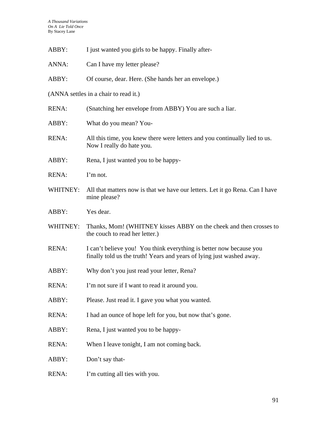| ABBY:        | I just wanted you girls to be happy. Finally after-                                                                                          |
|--------------|----------------------------------------------------------------------------------------------------------------------------------------------|
| ANNA:        | Can I have my letter please?                                                                                                                 |
| ABBY:        | Of course, dear. Here. (She hands her an envelope.)                                                                                          |
|              | (ANNA settles in a chair to read it.)                                                                                                        |
| RENA:        | (Snatching her envelope from ABBY) You are such a liar.                                                                                      |
| ABBY:        | What do you mean? You-                                                                                                                       |
| RENA:        | All this time, you knew there were letters and you continually lied to us.<br>Now I really do hate you.                                      |
| ABBY:        | Rena, I just wanted you to be happy-                                                                                                         |
| <b>RENA:</b> | I'm not.                                                                                                                                     |
| WHITNEY:     | All that matters now is that we have our letters. Let it go Rena. Can I have<br>mine please?                                                 |
| ABBY:        | Yes dear.                                                                                                                                    |
| WHITNEY:     | Thanks, Mom! (WHITNEY kisses ABBY on the cheek and then crosses to<br>the couch to read her letter.)                                         |
| RENA:        | I can't believe you! You think everything is better now because you<br>finally told us the truth! Years and years of lying just washed away. |
| ABBY:        | Why don't you just read your letter, Rena?                                                                                                   |
| <b>RENA:</b> | I'm not sure if I want to read it around you.                                                                                                |
| ABBY:        | Please. Just read it. I gave you what you wanted.                                                                                            |
| RENA:        | I had an ounce of hope left for you, but now that's gone.                                                                                    |
| ABBY:        | Rena, I just wanted you to be happy-                                                                                                         |
| RENA:        | When I leave tonight, I am not coming back.                                                                                                  |
| ABBY:        | Don't say that-                                                                                                                              |
| RENA:        | I'm cutting all ties with you.                                                                                                               |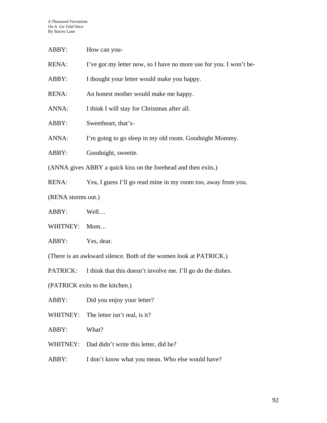| ABBY:                                                          | How can you-                                                       |
|----------------------------------------------------------------|--------------------------------------------------------------------|
| RENA:                                                          | I've got my letter now, so I have no more use for you. I won't be- |
| ABBY:                                                          | I thought your letter would make you happy.                        |
| RENA:                                                          | An honest mother would make me happy.                              |
| ANNA:                                                          | I think I will stay for Christmas after all.                       |
| ABBY:                                                          | Sweetheart, that's-                                                |
| ANNA:                                                          | I'm going to go sleep in my old room. Goodnight Mommy.             |
| ABBY:                                                          | Goodnight, sweetie.                                                |
| (ANNA gives ABBY a quick kiss on the forehead and then exits.) |                                                                    |
| RENA:                                                          | Yea, I guess I'll go read mine in my room too, away from you.      |
| (RENA storms out.)                                             |                                                                    |
| ABBY:                                                          | Well                                                               |
| WHITNEY:                                                       | Mom                                                                |
| ABBY:                                                          | Yes, dear.                                                         |
|                                                                | (There is an awkward silence. Both of the women look at PATRICK.)  |
| PATRICK:                                                       | I think that this doesn't involve me. I'll go do the dishes.       |

(PATRICK exits to the kitchen.)

ABBY: Did you enjoy your letter?

WHITNEY: The letter isn't real, is it?

ABBY: What?

WHITNEY: Dad didn't write this letter, did he?

ABBY: I don't know what you mean. Who else would have?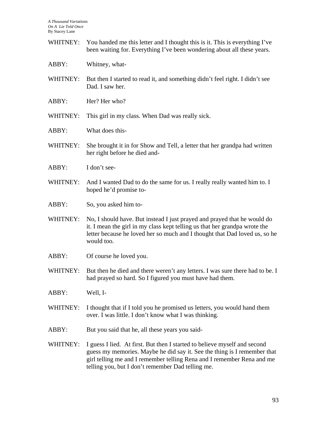- WHITNEY: You handed me this letter and I thought this is it. This is everything I've been waiting for. Everything I've been wondering about all these years.
- ABBY: Whitney, what-
- WHITNEY: But then I started to read it, and something didn't feel right. I didn't see Dad. I saw her.
- ABBY: Her? Her who?
- WHITNEY: This girl in my class. When Dad was really sick.
- ABBY: What does this-
- WHITNEY: She brought it in for Show and Tell, a letter that her grandpa had written her right before he died and-
- ABBY: I don't see-
- WHITNEY: And I wanted Dad to do the same for us. I really really wanted him to. I hoped he'd promise to-
- ABBY: So, you asked him to-
- WHITNEY: No, I should have. But instead I just prayed and prayed that he would do it. I mean the girl in my class kept telling us that her grandpa wrote the letter because he loved her so much and I thought that Dad loved us, so he would too.
- ABBY: Of course he loved you.
- WHITNEY: But then he died and there weren't any letters. I was sure there had to be. I had prayed so hard. So I figured you must have had them.
- ABBY: Well, I-
- WHITNEY: I thought that if I told you he promised us letters, you would hand them over. I was little. I don't know what I was thinking.
- ABBY: But you said that he, all these years you said-
- WHITNEY: I guess I lied. At first. But then I started to believe myself and second guess my memories. Maybe he did say it. See the thing is I remember that girl telling me and I remember telling Rena and I remember Rena and me telling you, but I don't remember Dad telling me.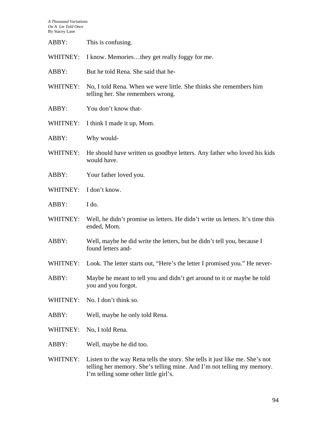| This is confusing. |
|--------------------|

WHITNEY: I know. Memories...they get really foggy for me.

- ABBY: But he told Rena. She said that he-
- WHITNEY: No, I told Rena. When we were little. She thinks she remembers him telling her. She remembers wrong.
- ABBY: You don't know that-
- WHITNEY: I think I made it up, Mom.
- ABBY: Why would-
- WHITNEY: He should have written us goodbye letters. Any father who loved his kids would have.
- ABBY: Your father loved you.
- WHITNEY: I don't know.
- ABBY: I do.
- WHITNEY: Well, he didn't promise us letters. He didn't write us letters. It's time this ended, Mom.
- ABBY: Well, maybe he did write the letters, but he didn't tell you, because I found letters and-
- WHITNEY: Look. The letter starts out, "Here's the letter I promised you." He never-
- ABBY: Maybe he meant to tell you and didn't get around to it or maybe he told you and you forgot.
- WHITNEY: No. I don't think so.
- ABBY: Well, maybe he only told Rena.
- WHITNEY: No, I told Rena.
- ABBY: Well, maybe he did too.
- WHITNEY: Listen to the way Rena tells the story. She tells it just like me. She's not telling her memory. She's telling mine. And I'm not telling my memory. I'm telling some other little girl's.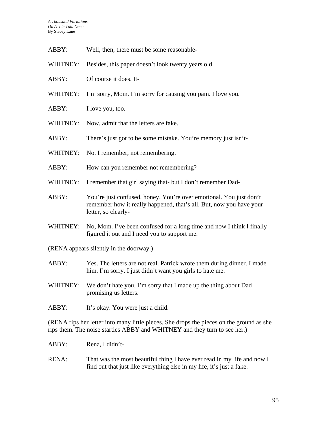- ABBY: Well, then, there must be some reasonable-
- WHITNEY: Besides, this paper doesn't look twenty years old.
- ABBY: Of course it does. It-
- WHITNEY: I'm sorry, Mom. I'm sorry for causing you pain. I love you.
- ABBY: I love you, too.
- WHITNEY: Now, admit that the letters are fake.
- ABBY: There's just got to be some mistake. You're memory just isn't-
- WHITNEY: No. I remember, not remembering.
- ABBY: How can you remember not remembering?
- WHITNEY: I remember that girl saying that- but I don't remember Dad-
- ABBY: You're just confused, honey. You're over emotional. You just don't remember how it really happened, that's all. But, now you have your letter, so clearly-
- WHITNEY: No, Mom. I've been confused for a long time and now I think I finally figured it out and I need you to support me.
- (RENA appears silently in the doorway.)
- ABBY: Yes. The letters are not real. Patrick wrote them during dinner. I made him. I'm sorry. I just didn't want you girls to hate me.
- WHITNEY: We don't hate you. I'm sorry that I made up the thing about Dad promising us letters.
- ABBY: It's okay. You were just a child.

(RENA rips her letter into many little pieces. She drops the pieces on the ground as she rips them. The noise startles ABBY and WHITNEY and they turn to see her.)

- ABBY: Rena, I didn't-
- RENA: That was the most beautiful thing I have ever read in my life and now I find out that just like everything else in my life, it's just a fake.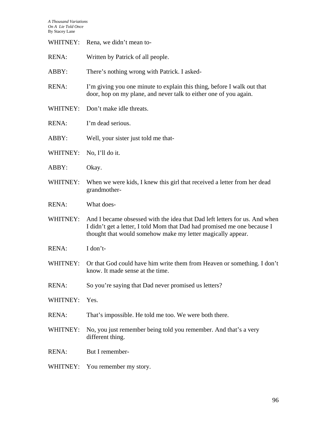| WHITNEY:     | Rena, we didn't mean to-                                                                                                                                                                                              |
|--------------|-----------------------------------------------------------------------------------------------------------------------------------------------------------------------------------------------------------------------|
| <b>RENA:</b> | Written by Patrick of all people.                                                                                                                                                                                     |
| ABBY:        | There's nothing wrong with Patrick. I asked-                                                                                                                                                                          |
| <b>RENA:</b> | I'm giving you one minute to explain this thing, before I walk out that<br>door, hop on my plane, and never talk to either one of you again.                                                                          |
| WHITNEY:     | Don't make idle threats.                                                                                                                                                                                              |
| <b>RENA:</b> | I'm dead serious.                                                                                                                                                                                                     |
| ABBY:        | Well, your sister just told me that-                                                                                                                                                                                  |
| WHITNEY:     | No, I'll do it.                                                                                                                                                                                                       |
| ABBY:        | Okay.                                                                                                                                                                                                                 |
| WHITNEY:     | When we were kids, I knew this girl that received a letter from her dead<br>grandmother-                                                                                                                              |
| <b>RENA:</b> | What does-                                                                                                                                                                                                            |
| WHITNEY:     | And I became obsessed with the idea that Dad left letters for us. And when<br>I didn't get a letter, I told Mom that Dad had promised me one because I<br>thought that would somehow make my letter magically appear. |
| <b>RENA:</b> | I don't-                                                                                                                                                                                                              |
| WHITNEY:     | Or that God could have him write them from Heaven or something. I don't<br>know. It made sense at the time.                                                                                                           |
| <b>RENA:</b> | So you're saying that Dad never promised us letters?                                                                                                                                                                  |
| WHITNEY:     | Yes.                                                                                                                                                                                                                  |
| <b>RENA:</b> | That's impossible. He told me too. We were both there.                                                                                                                                                                |
| WHITNEY:     | No, you just remember being told you remember. And that's a very<br>different thing.                                                                                                                                  |
| <b>RENA:</b> | But I remember-                                                                                                                                                                                                       |
| WHITNEY:     | You remember my story.                                                                                                                                                                                                |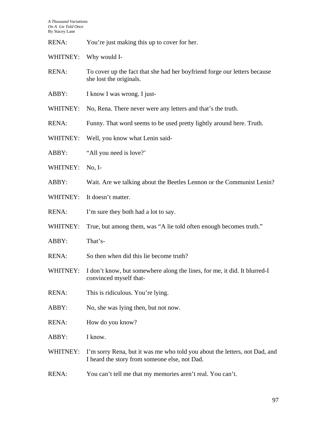RENA: You're just making this up to cover for her.

WHITNEY: Why would I-

- RENA: To cover up the fact that she had her boyfriend forge our letters because she lost the originals.
- ABBY: I know I was wrong. I just-
- WHITNEY: No, Rena. There never were any letters and that's the truth.
- RENA: Funny. That word seems to be used pretty lightly around here. Truth.
- WHITNEY: Well, you know what Lenin said-
- ABBY: "All you need is love?"
- WHITNEY: No, I-
- ABBY: Wait. Are we talking about the Beetles Lennon or the Communist Lenin?
- WHITNEY: It doesn't matter.
- RENA: I'm sure they both had a lot to say.
- WHITNEY: True, but among them, was "A lie told often enough becomes truth."
- ABBY: That's-
- RENA: So then when did this lie become truth?
- WHITNEY: I don't know, but somewhere along the lines, for me, it did. It blurred-I convinced myself that-
- RENA: This is ridiculous. You're lying.
- ABBY: No, she was lying then, but not now.
- RENA: How do you know?
- ABBY: I know.
- WHITNEY: I'm sorry Rena, but it was me who told you about the letters, not Dad, and I heard the story from someone else, not Dad.
- RENA: You can't tell me that my memories aren't real. You can't.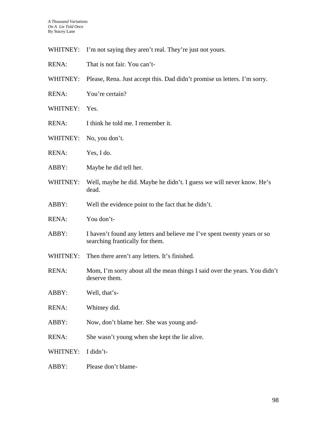- WHITNEY: I'm not saying they aren't real. They're just not yours.
- RENA: That is not fair. You can't-
- WHITNEY: Please, Rena. Just accept this. Dad didn't promise us letters. I'm sorry.
- RENA: You're certain?
- WHITNEY: Yes.
- RENA: I think he told me. I remember it.
- WHITNEY: No, you don't.
- RENA: Yes, I do.
- ABBY: Maybe he did tell her.
- WHITNEY: Well, maybe he did. Maybe he didn't. I guess we will never know. He's dead.
- ABBY: Well the evidence point to the fact that he didn't.
- RENA: You don't-
- ABBY: I haven't found any letters and believe me I've spent twenty years or so searching frantically for them.
- WHITNEY: Then there aren't any letters. It's finished.
- RENA: Mom, I'm sorry about all the mean things I said over the years. You didn't deserve them.
- ABBY: Well, that's-
- RENA: Whitney did.
- ABBY: Now, don't blame her. She was young and-
- RENA: She wasn't young when she kept the lie alive.
- WHITNEY: I didn't-
- ABBY: Please don't blame-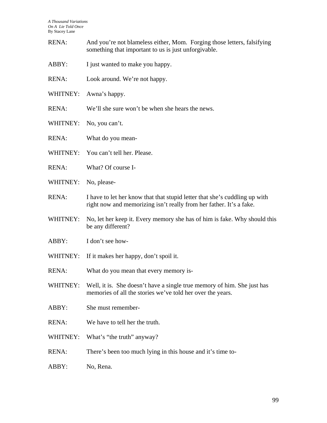- RENA: And you're not blameless either, Mom. Forging those letters, falsifying something that important to us is just unforgivable.
- ABBY: I just wanted to make you happy.
- RENA: Look around. We're not happy.
- WHITNEY: Awna's happy.
- RENA: We'll she sure won't be when she hears the news.
- WHITNEY: No, you can't.
- RENA: What do you mean-
- WHITNEY: You can't tell her. Please.
- RENA: What? Of course I-
- WHITNEY: No, please-
- RENA: I have to let her know that that stupid letter that she's cuddling up with right now and memorizing isn't really from her father. It's a fake.
- WHITNEY: No, let her keep it. Every memory she has of him is fake. Why should this be any different?
- ABBY: I don't see how-
- WHITNEY: If it makes her happy, don't spoil it.
- RENA: What do you mean that every memory is-
- WHITNEY: Well, it is. She doesn't have a single true memory of him. She just has memories of all the stories we've told her over the years.
- ABBY: She must remember-
- RENA: We have to tell her the truth.
- WHITNEY: What's "the truth" anyway?
- RENA: There's been too much lying in this house and it's time to-
- ABBY: No, Rena.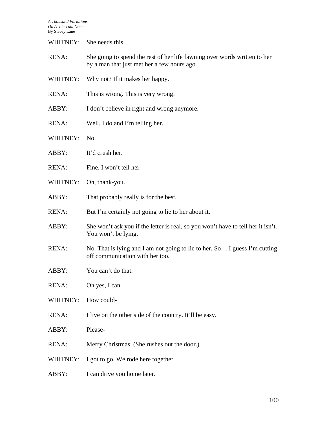WHITNEY: She needs this.

- RENA: She going to spend the rest of her life fawning over words written to her by a man that just met her a few hours ago.
- WHITNEY: Why not? If it makes her happy.
- RENA: This is wrong. This is very wrong.
- ABBY: I don't believe in right and wrong anymore.
- RENA: Well, I do and I'm telling her.
- WHITNEY: No.
- ABBY: It'd crush her.
- RENA: Fine. I won't tell her-
- WHITNEY: Oh, thank-you.
- ABBY: That probably really is for the best.
- RENA: But I'm certainly not going to lie to her about it.
- ABBY: She won't ask you if the letter is real, so you won't have to tell her it isn't. You won't be lying.
- RENA: No. That is lying and I am not going to lie to her. So... I guess I'm cutting off communication with her too.
- ABBY: You can't do that.
- RENA: Oh yes, I can.
- WHITNEY: How could-
- RENA: I live on the other side of the country. It'll be easy.
- ABBY: Please-
- RENA: Merry Christmas. (She rushes out the door.)
- WHITNEY: I got to go. We rode here together.
- ABBY: I can drive you home later.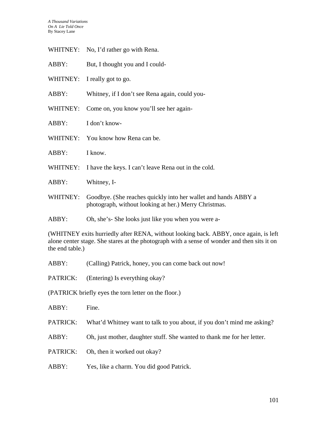- WHITNEY: No, I'd rather go with Rena.
- ABBY: But, I thought you and I could-
- WHITNEY: I really got to go.
- ABBY: Whitney, if I don't see Rena again, could you-
- WHITNEY: Come on, you know you'll see her again-
- ABBY: I don't know-
- WHITNEY: You know how Rena can be.
- ABBY: I know.
- WHITNEY: I have the keys. I can't leave Rena out in the cold.
- ABBY: Whitney, I-
- WHITNEY: Goodbye. (She reaches quickly into her wallet and hands ABBY a photograph, without looking at her.) Merry Christmas.
- ABBY: Oh, she's- She looks just like you when you were a-

(WHITNEY exits hurriedly after RENA, without looking back. ABBY, once again, is left alone center stage. She stares at the photograph with a sense of wonder and then sits it on the end table.)

- ABBY: (Calling) Patrick, honey, you can come back out now!
- PATRICK: (Entering) Is everything okay?
- (PATRICK briefly eyes the torn letter on the floor.)
- ABBY: Fine.
- PATRICK: What'd Whitney want to talk to you about, if you don't mind me asking?
- ABBY: Oh, just mother, daughter stuff. She wanted to thank me for her letter.
- PATRICK: Oh, then it worked out okay?
- ABBY: Yes, like a charm. You did good Patrick.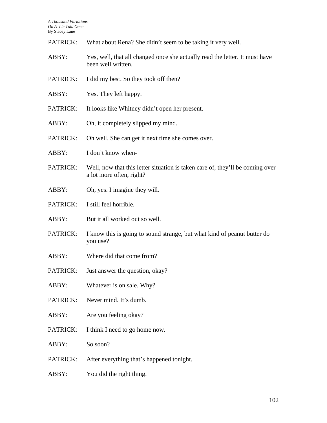| PATRICK: | What about Rena? She didn't seem to be taking it very well. |
|----------|-------------------------------------------------------------|
|----------|-------------------------------------------------------------|

- ABBY: Yes, well, that all changed once she actually read the letter. It must have been well written.
- PATRICK: I did my best. So they took off then?
- ABBY: Yes. They left happy.
- PATRICK: It looks like Whitney didn't open her present.
- ABBY: Oh, it completely slipped my mind.
- PATRICK: Oh well. She can get it next time she comes over.
- ABBY: I don't know when-
- PATRICK: Well, now that this letter situation is taken care of, they'll be coming over a lot more often, right?
- ABBY: Oh, yes. I imagine they will.
- PATRICK: I still feel horrible.
- ABBY: But it all worked out so well.
- PATRICK: I know this is going to sound strange, but what kind of peanut butter do you use?
- ABBY: Where did that come from?
- PATRICK: Just answer the question, okay?
- ABBY: Whatever is on sale. Why?
- PATRICK: Never mind. It's dumb.
- ABBY: Are you feeling okay?
- PATRICK: I think I need to go home now.
- ABBY: So soon?
- PATRICK: After everything that's happened tonight.
- ABBY: You did the right thing.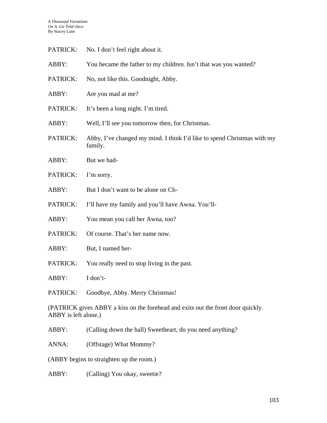- PATRICK: No. I don't feel right about it.
- ABBY: You became the father to my children. Isn't that was you wanted?
- PATRICK: No, not like this. Goodnight, Abby.
- ABBY: Are you mad at me?
- PATRICK: It's been a long night. I'm tired.
- ABBY: Well, I'll see you tomorrow then, for Christmas.
- PATRICK: Abby, I've changed my mind. I think I'd like to spend Christmas with my family.
- ABBY: But we had-
- PATRICK: I'm sorry.
- ABBY: But I don't want to be alone on Ch-
- PATRICK: I'll have my family and you'll have Awna. You'll-
- ABBY: You mean you call her Awna, too?
- PATRICK: Of course. That's her name now.
- ABBY: But, I named her-
- PATRICK: You really need to stop living in the past.

ABBY: I don't-

PATRICK: Goodbye, Abby. Merry Christmas!

(PATRICK gives ABBY a kiss on the forehead and exits out the front door quickly. ABBY is left alone.)

ABBY: (Calling down the hall) Sweetheart, do you need anything?

ANNA: (Offstage) What Mommy?

(ABBY begins to straighten up the room.)

ABBY: (Calling) You okay, sweetie?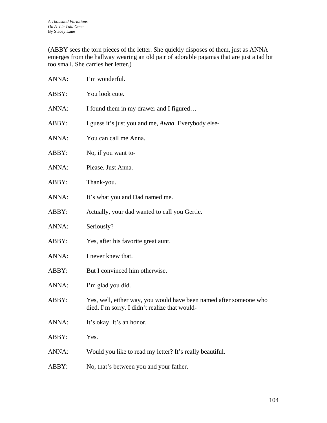(ABBY sees the torn pieces of the letter. She quickly disposes of them, just as ANNA emerges from the hallway wearing an old pair of adorable pajamas that are just a tad bit too small. She carries her letter.)

| ANNA: | I'm wonderful.                                                                                                      |
|-------|---------------------------------------------------------------------------------------------------------------------|
| ABBY: | You look cute.                                                                                                      |
| ANNA: | I found them in my drawer and I figured                                                                             |
| ABBY: | I guess it's just you and me, Awna. Everybody else-                                                                 |
| ANNA: | You can call me Anna.                                                                                               |
| ABBY: | No, if you want to-                                                                                                 |
| ANNA: | Please. Just Anna.                                                                                                  |
| ABBY: | Thank-you.                                                                                                          |
| ANNA: | It's what you and Dad named me.                                                                                     |
| ABBY: | Actually, your dad wanted to call you Gertie.                                                                       |
| ANNA: | Seriously?                                                                                                          |
| ABBY: | Yes, after his favorite great aunt.                                                                                 |
| ANNA: | I never knew that.                                                                                                  |
| ABBY: | But I convinced him otherwise.                                                                                      |
| ANNA: | I'm glad you did.                                                                                                   |
| ABBY: | Yes, well, either way, you would have been named after someone who<br>died. I'm sorry. I didn't realize that would- |
| ANNA: | It's okay. It's an honor.                                                                                           |
| ABBY: | Yes.                                                                                                                |
| ANNA: | Would you like to read my letter? It's really beautiful.                                                            |
| ABBY: | No, that's between you and your father.                                                                             |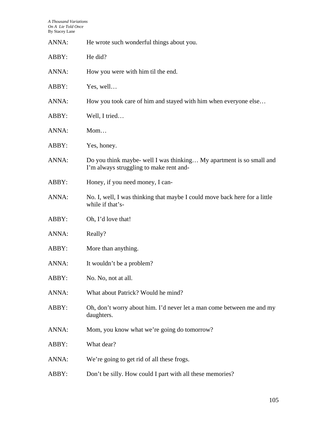| ANNA: | He wrote such wonderful things about you.                                                                       |
|-------|-----------------------------------------------------------------------------------------------------------------|
| ABBY: | He did?                                                                                                         |
| ANNA: | How you were with him til the end.                                                                              |
| ABBY: | Yes, well                                                                                                       |
| ANNA: | How you took care of him and stayed with him when everyone else                                                 |
| ABBY: | Well, I tried                                                                                                   |
| ANNA: | $M$ om                                                                                                          |
| ABBY: | Yes, honey.                                                                                                     |
| ANNA: | Do you think maybe- well I was thinking My apartment is so small and<br>I'm always struggling to make rent and- |
| ABBY: | Honey, if you need money, I can-                                                                                |
| ANNA: | No. I, well, I was thinking that maybe I could move back here for a little<br>while if that's-                  |
| ABBY: | Oh, I'd love that!                                                                                              |
| ANNA: | Really?                                                                                                         |
| ABBY: | More than anything.                                                                                             |
| ANNA: | It wouldn't be a problem?                                                                                       |
| ABBY: | No. No, not at all.                                                                                             |
| ANNA: | What about Patrick? Would he mind?                                                                              |
| ABBY: | Oh, don't worry about him. I'd never let a man come between me and my<br>daughters.                             |
| ANNA: | Mom, you know what we're going do tomorrow?                                                                     |
| ABBY: | What dear?                                                                                                      |
| ANNA: | We're going to get rid of all these frogs.                                                                      |
| ABBY: | Don't be silly. How could I part with all these memories?                                                       |